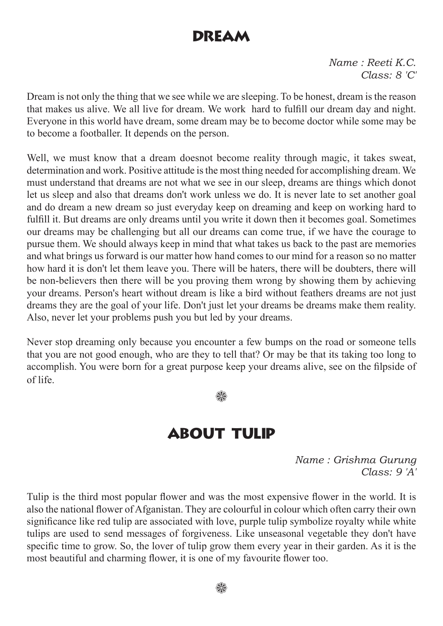#### DREAM

*Name : Reeti K.C. Class: 8 'C'*

Dream is not only the thing that we see while we are sleeping. To be honest, dream is the reason that makes us alive. We all live for dream. We work hard to fulfill our dream day and night. Everyone in this world have dream, some dream may be to become doctor while some may be to become a footballer. It depends on the person.

Well, we must know that a dream doesnot become reality through magic, it takes sweat, determination and work. Positive attitude is the most thing needed for accomplishing dream. We must understand that dreams are not what we see in our sleep, dreams are things which donot let us sleep and also that dreams don't work unless we do. It is never late to set another goal and do dream a new dream so just everyday keep on dreaming and keep on working hard to fulfill it. But dreams are only dreams until you write it down then it becomes goal. Sometimes our dreams may be challenging but all our dreams can come true, if we have the courage to pursue them. We should always keep in mind that what takes us back to the past are memories and what brings us forward is our matter how hand comes to our mind for a reason so no matter how hard it is don't let them leave you. There will be haters, there will be doubters, there will be non-believers then there will be you proving them wrong by showing them by achieving your dreams. Person's heart without dream is like a bird without feathers dreams are not just dreams they are the goal of your life. Don't just let your dreams be dreams make them reality. Also, never let your problems push you but led by your dreams.

Never stop dreaming only because you encounter a few bumps on the road or someone tells that you are not good enough, who are they to tell that? Or may be that its taking too long to accomplish. You were born for a great purpose keep your dreams alive, see on the filpside of of life.

₩

## About tulip

*Name : Grishma Gurung Class: 9 'A'*

Tulip is the third most popular flower and was the most expensive flower in the world. It is also the national flower of Afganistan. They are colourful in colour which often carry their own significance like red tulip are associated with love, purple tulip symbolize royalty while white tulips are used to send messages of forgiveness. Like unseasonal vegetable they don't have specific time to grow. So, the lover of tulip grow them every year in their garden. As it is the most beautiful and charming flower, it is one of my favourite flower too.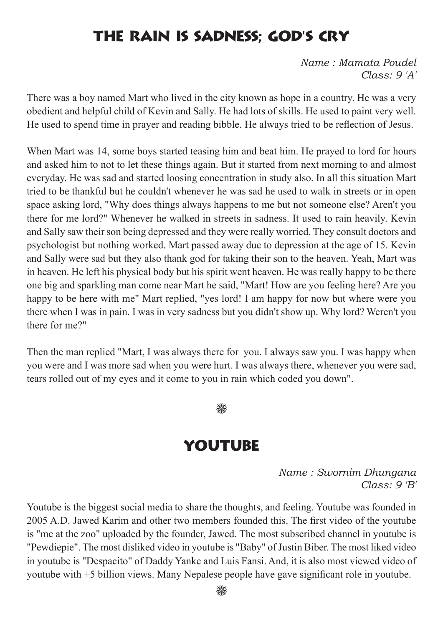## The rain is sadness; god's cry

*Name : Mamata Poudel Class: 9 'A'*

There was a boy named Mart who lived in the city known as hope in a country. He was a very obedient and helpful child of Kevin and Sally. He had lots of skills. He used to paint very well. He used to spend time in prayer and reading bibble. He always tried to be reflection of Jesus.

When Mart was 14, some boys started teasing him and beat him. He prayed to lord for hours and asked him to not to let these things again. But it started from next morning to and almost everyday. He was sad and started loosing concentration in study also. In all this situation Mart tried to be thankful but he couldn't whenever he was sad he used to walk in streets or in open space asking lord, "Why does things always happens to me but not someone else? Aren't you there for me lord?" Whenever he walked in streets in sadness. It used to rain heavily. Kevin and Sally saw their son being depressed and they were really worried. They consult doctors and psychologist but nothing worked. Mart passed away due to depression at the age of 15. Kevin and Sally were sad but they also thank god for taking their son to the heaven. Yeah, Mart was in heaven. He left his physical body but his spirit went heaven. He was really happy to be there one big and sparkling man come near Mart he said, "Mart! How are you feeling here? Are you happy to be here with me" Mart replied, "yes lord! I am happy for now but where were you there when I was in pain. I was in very sadness but you didn't show up. Why lord? Weren't you there for me?"

Then the man replied "Mart, I was always there for you. I always saw you. I was happy when you were and I was more sad when you were hurt. I was always there, whenever you were sad, tears rolled out of my eyes and it come to you in rain which coded you down".

#### 82

#### YOUTUBE

*Name : Swornim Dhungana Class: 9 'B'*

Youtube is the biggest social media to share the thoughts, and feeling. Youtube was founded in 2005 A.D. Jawed Karim and other two members founded this. The first video of the youtube is "me at the zoo" uploaded by the founder, Jawed. The most subscribed channel in youtube is "Pewdiepie". The most disliked video in youtube is "Baby" of Justin Biber. The most liked video in youtube is "Despacito" of Daddy Yanke and Luis Fansi. And, it is also most viewed video of youtube with +5 billion views. Many Nepalese people have gave significant role in youtube.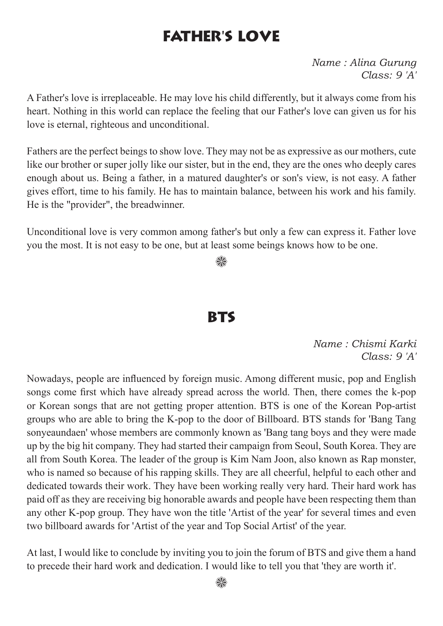## FAther's love

*Name : Alina Gurung Class: 9 'A'*

A Father's love is irreplaceable. He may love his child differently, but it always come from his heart. Nothing in this world can replace the feeling that our Father's love can given us for his love is eternal, righteous and unconditional.

Fathers are the perfect beings to show love. They may not be as expressive as our mothers, cute like our brother or super jolly like our sister, but in the end, they are the ones who deeply cares enough about us. Being a father, in a matured daughter's or son's view, is not easy. A father gives effort, time to his family. He has to maintain balance, between his work and his family. He is the "provider", the breadwinner.

Unconditional love is very common among father's but only a few can express it. Father love you the most. It is not easy to be one, but at least some beings knows how to be one.

❀

#### **RTS**

*Name : Chismi Karki Class: 9 'A'*

Nowadays, people are influenced by foreign music. Among different music, pop and English songs come first which have already spread across the world. Then, there comes the k-pop or Korean songs that are not getting proper attention. BTS is one of the Korean Pop-artist groups who are able to bring the K-pop to the door of Billboard. BTS stands for 'Bang Tang sonyeaundaen' whose members are commonly known as 'Bang tang boys and they were made up by the big hit company. They had started their campaign from Seoul, South Korea. They are all from South Korea. The leader of the group is Kim Nam Joon, also known as Rap monster, who is named so because of his rapping skills. They are all cheerful, helpful to each other and dedicated towards their work. They have been working really very hard. Their hard work has paid off as they are receiving big honorable awards and people have been respecting them than any other K-pop group. They have won the title 'Artist of the year' for several times and even two billboard awards for 'Artist of the year and Top Social Artist' of the year.

At last, I would like to conclude by inviting you to join the forum of BTS and give them a hand to precede their hard work and dedication. I would like to tell you that 'they are worth it'.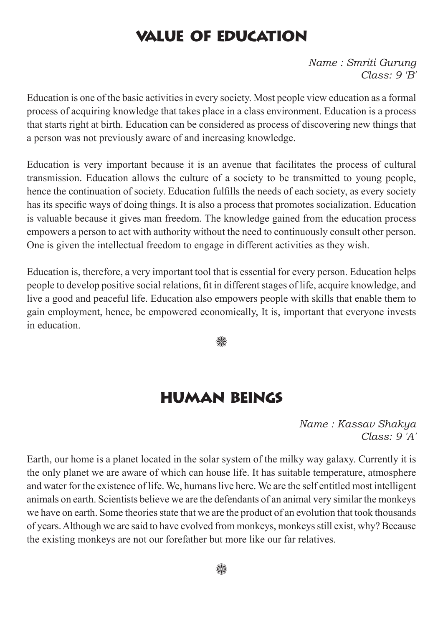#### Value of education

*Name : Smriti Gurung Class: 9 'B'*

Education is one of the basic activities in every society. Most people view education as a formal process of acquiring knowledge that takes place in a class environment. Education is a process that starts right at birth. Education can be considered as process of discovering new things that a person was not previously aware of and increasing knowledge.

Education is very important because it is an avenue that facilitates the process of cultural transmission. Education allows the culture of a society to be transmitted to young people, hence the continuation of society. Education fulfills the needs of each society, as every society has its specific ways of doing things. It is also a process that promotes socialization. Education is valuable because it gives man freedom. The knowledge gained from the education process empowers a person to act with authority without the need to continuously consult other person. One is given the intellectual freedom to engage in different activities as they wish.

Education is, therefore, a very important tool that is essential for every person. Education helps people to develop positive social relations, fit in different stages of life, acquire knowledge, and live a good and peaceful life. Education also empowers people with skills that enable them to gain employment, hence, be empowered economically, It is, important that everyone invests in education.

₩

#### Human beings

*Name : Kassav Shakya Class: 9 'A'*

Earth, our home is a planet located in the solar system of the milky way galaxy. Currently it is the only planet we are aware of which can house life. It has suitable temperature, atmosphere and water for the existence of life. We, humans live here. We are the self entitled most intelligent animals on earth. Scientists believe we are the defendants of an animal very similar the monkeys we have on earth. Some theories state that we are the product of an evolution that took thousands of years. Although we are said to have evolved from monkeys, monkeys still exist, why? Because the existing monkeys are not our forefather but more like our far relatives.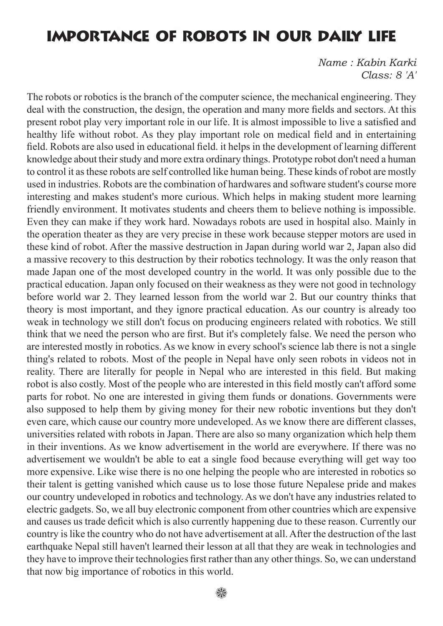#### Importance of robots in our daily life

*Name : Kabin Karki Class: 8 'A'*

The robots or robotics is the branch of the computer science, the mechanical engineering. They deal with the construction, the design, the operation and many more fields and sectors. At this present robot play very important role in our life. It is almost impossible to live a satisfied and healthy life without robot. As they play important role on medical field and in entertaining field. Robots are also used in educational field. it helps in the development of learning different knowledge about their study and more extra ordinary things. Prototype robot don't need a human to control it as these robots are self controlled like human being. These kinds of robot are mostly used in industries. Robots are the combination of hardwares and software student's course more interesting and makes student's more curious. Which helps in making student more learning friendly environment. It motivates students and cheers them to believe nothing is impossible. Even they can make if they work hard. Nowadays robots are used in hospital also. Mainly in the operation theater as they are very precise in these work because stepper motors are used in these kind of robot. After the massive destruction in Japan during world war 2, Japan also did a massive recovery to this destruction by their robotics technology. It was the only reason that made Japan one of the most developed country in the world. It was only possible due to the practical education. Japan only focused on their weakness as they were not good in technology before world war 2. They learned lesson from the world war 2. But our country thinks that theory is most important, and they ignore practical education. As our country is already too weak in technology we still don't focus on producing engineers related with robotics. We still think that we need the person who are first. But it's completely false. We need the person who are interested mostly in robotics. As we know in every school's science lab there is not a single thing's related to robots. Most of the people in Nepal have only seen robots in videos not in reality. There are literally for people in Nepal who are interested in this field. But making robot is also costly. Most of the people who are interested in this field mostly can't afford some parts for robot. No one are interested in giving them funds or donations. Governments were also supposed to help them by giving money for their new robotic inventions but they don't even care, which cause our country more undeveloped. As we know there are different classes, universities related with robots in Japan. There are also so many organization which help them in their inventions. As we know advertisement in the world are everywhere. If there was no advertisement we wouldn't be able to eat a single food because everything will get way too more expensive. Like wise there is no one helping the people who are interested in robotics so their talent is getting vanished which cause us to lose those future Nepalese pride and makes our country undeveloped in robotics and technology. As we don't have any industries related to electric gadgets. So, we all buy electronic component from other countries which are expensive and causes us trade deficit which is also currently happening due to these reason. Currently our country is like the country who do not have advertisement at all. After the destruction of the last earthquake Nepal still haven't learned their lesson at all that they are weak in technologies and they have to improve their technologies first rather than any other things. So, we can understand that now big importance of robotics in this world.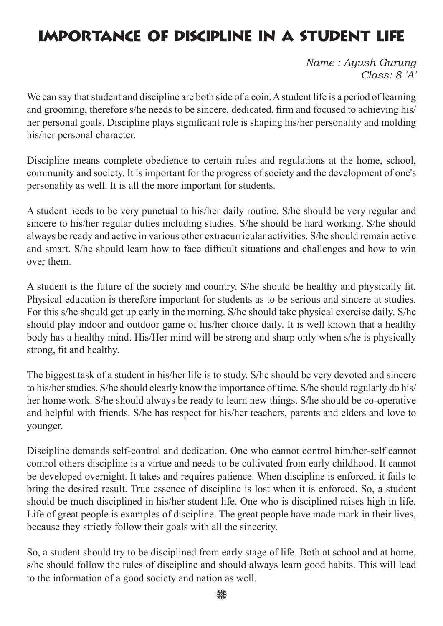# Importance of Discipline in a Student life

*Name : Ayush Gurung Class: 8 'A'*

We can say that student and discipline are both side of a coin. A student life is a period of learning and grooming, therefore s/he needs to be sincere, dedicated, firm and focused to achieving his/ her personal goals. Discipline plays significant role is shaping his/her personality and molding his/her personal character.

Discipline means complete obedience to certain rules and regulations at the home, school, community and society. It is important for the progress of society and the development of one's personality as well. It is all the more important for students.

A student needs to be very punctual to his/her daily routine. S/he should be very regular and sincere to his/her regular duties including studies. S/he should be hard working. S/he should always be ready and active in various other extracurricular activities. S/he should remain active and smart. S/he should learn how to face difficult situations and challenges and how to win over them.

A student is the future of the society and country. S/he should be healthy and physically fit. Physical education is therefore important for students as to be serious and sincere at studies. For this s/he should get up early in the morning. S/he should take physical exercise daily. S/he should play indoor and outdoor game of his/her choice daily. It is well known that a healthy body has a healthy mind. His/Her mind will be strong and sharp only when s/he is physically strong, fit and healthy.

The biggest task of a student in his/her life is to study. S/he should be very devoted and sincere to his/her studies. S/he should clearly know the importance of time. S/he should regularly do his/ her home work. S/he should always be ready to learn new things. S/he should be co-operative and helpful with friends. S/he has respect for his/her teachers, parents and elders and love to younger.

Discipline demands self-control and dedication. One who cannot control him/her-self cannot control others discipline is a virtue and needs to be cultivated from early childhood. It cannot be developed overnight. It takes and requires patience. When discipline is enforced, it fails to bring the desired result. True essence of discipline is lost when it is enforced. So, a student should be much disciplined in his/her student life. One who is disciplined raises high in life. Life of great people is examples of discipline. The great people have made mark in their lives, because they strictly follow their goals with all the sincerity.

So, a student should try to be disciplined from early stage of life. Both at school and at home, s/he should follow the rules of discipline and should always learn good habits. This will lead to the information of a good society and nation as well.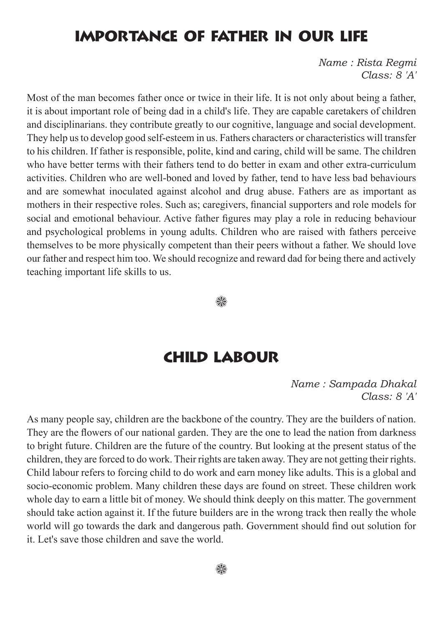#### Importance of Father in our life

*Name : Rista Regmi Class: 8 'A'*

Most of the man becomes father once or twice in their life. It is not only about being a father, it is about important role of being dad in a child's life. They are capable caretakers of children and disciplinarians. they contribute greatly to our cognitive, language and social development. They help us to develop good self-esteem in us. Fathers characters or characteristics will transfer to his children. If father is responsible, polite, kind and caring, child will be same. The children who have better terms with their fathers tend to do better in exam and other extra-curriculum activities. Children who are well-boned and loved by father, tend to have less bad behaviours and are somewhat inoculated against alcohol and drug abuse. Fathers are as important as mothers in their respective roles. Such as; caregivers, financial supporters and role models for social and emotional behaviour. Active father figures may play a role in reducing behaviour and psychological problems in young adults. Children who are raised with fathers perceive themselves to be more physically competent than their peers without a father. We should love our father and respect him too. We should recognize and reward dad for being there and actively teaching important life skills to us.

₩

#### **CHILD LABOUR**

*Name : Sampada Dhakal Class: 8 'A'*

As many people say, children are the backbone of the country. They are the builders of nation. They are the flowers of our national garden. They are the one to lead the nation from darkness to bright future. Children are the future of the country. But looking at the present status of the children, they are forced to do work. Their rights are taken away. They are not getting their rights. Child labour refers to forcing child to do work and earn money like adults. This is a global and socio-economic problem. Many children these days are found on street. These children work whole day to earn a little bit of money. We should think deeply on this matter. The government should take action against it. If the future builders are in the wrong track then really the whole world will go towards the dark and dangerous path. Government should find out solution for it. Let's save those children and save the world.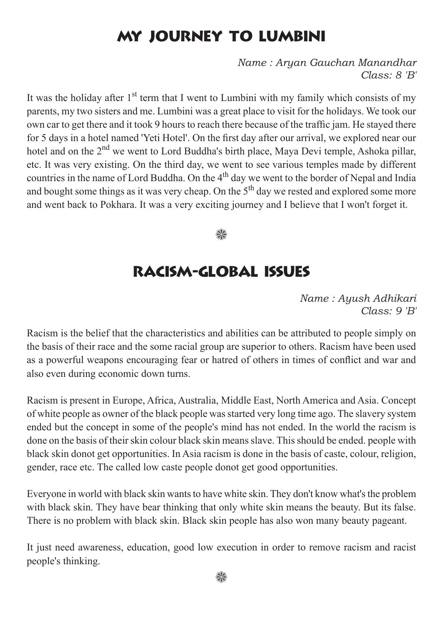# My Journey to Lumbini

*Name : Aryan Gauchan Manandhar Class: 8 'B'*

It was the holiday after  $1<sup>st</sup>$  term that I went to Lumbini with my family which consists of my parents, my two sisters and me. Lumbini was a great place to visit for the holidays. We took our own car to get there and it took 9 hours to reach there because of the traffic jam. He stayed there for 5 days in a hotel named 'Yeti Hotel'. On the first day after our arrival, we explored near our hotel and on the 2<sup>nd</sup> we went to Lord Buddha's birth place, Maya Devi temple, Ashoka pillar, etc. It was very existing. On the third day, we went to see various temples made by different countries in the name of Lord Buddha. On the  $4<sup>th</sup>$  day we went to the border of Nepal and India and bought some things as it was very cheap. On the  $5<sup>th</sup>$  day we rested and explored some more and went back to Pokhara. It was a very exciting journey and I believe that I won't forget it.

92

#### Racism-Global Issues

*Name : Ayush Adhikari Class: 9 'B'*

Racism is the belief that the characteristics and abilities can be attributed to people simply on the basis of their race and the some racial group are superior to others. Racism have been used as a powerful weapons encouraging fear or hatred of others in times of conflict and war and also even during economic down turns.

Racism is present in Europe, Africa, Australia, Middle East, North America and Asia. Concept of white people as owner of the black people was started very long time ago. The slavery system ended but the concept in some of the people's mind has not ended. In the world the racism is done on the basis of their skin colour black skin means slave. This should be ended. people with black skin donot get opportunities. In Asia racism is done in the basis of caste, colour, religion, gender, race etc. The called low caste people donot get good opportunities.

Everyone in world with black skin wants to have white skin. They don't know what's the problem with black skin. They have bear thinking that only white skin means the beauty. But its false. There is no problem with black skin. Black skin people has also won many beauty pageant.

It just need awareness, education, good low execution in order to remove racism and racist people's thinking.

93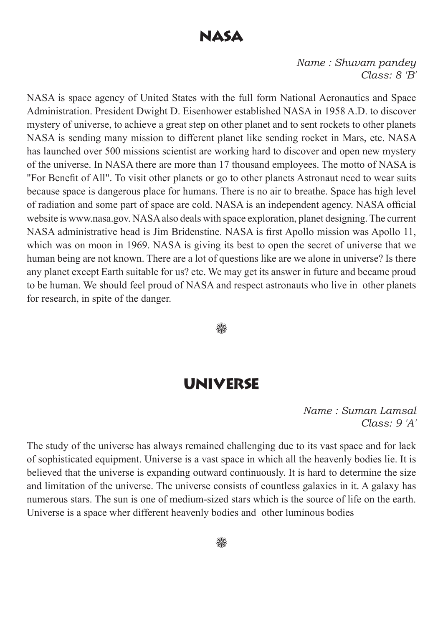#### Nasa

*Name : Shuvam pandey Class: 8 'B'*

NASA is space agency of United States with the full form National Aeronautics and Space Administration. President Dwight D. Eisenhower established NASA in 1958 A.D. to discover mystery of universe, to achieve a great step on other planet and to sent rockets to other planets NASA is sending many mission to different planet like sending rocket in Mars, etc. NASA has launched over 500 missions scientist are working hard to discover and open new mystery of the universe. In NASA there are more than 17 thousand employees. The motto of NASA is "For Benefit of All". To visit other planets or go to other planets Astronaut need to wear suits because space is dangerous place for humans. There is no air to breathe. Space has high level of radiation and some part of space are cold. NASA is an independent agency. NASA official website is www.nasa.gov. NASA also deals with space exploration, planet designing. The current NASA administrative head is Jim Bridenstine. NASA is first Apollo mission was Apollo 11, which was on moon in 1969. NASA is giving its best to open the secret of universe that we human being are not known. There are a lot of questions like are we alone in universe? Is there any planet except Earth suitable for us? etc. We may get its answer in future and became proud to be human. We should feel proud of NASA and respect astronauts who live in other planets for research, in spite of the danger.

₩

#### Universe

*Name : Suman Lamsal Class: 9 'A'*

The study of the universe has always remained challenging due to its vast space and for lack of sophisticated equipment. Universe is a vast space in which all the heavenly bodies lie. It is believed that the universe is expanding outward continuously. It is hard to determine the size and limitation of the universe. The universe consists of countless galaxies in it. A galaxy has numerous stars. The sun is one of medium-sized stars which is the source of life on the earth. Universe is a space wher different heavenly bodies and other luminous bodies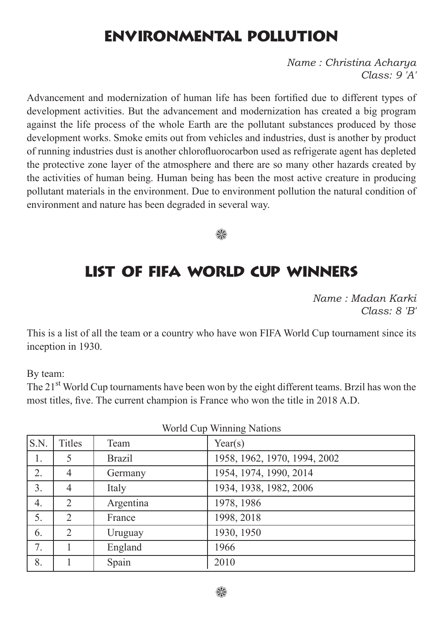## Environmental Pollution

*Name : Christina Acharya Class: 9 'A'*

Advancement and modernization of human life has been fortified due to different types of development activities. But the advancement and modernization has created a big program against the life process of the whole Earth are the pollutant substances produced by those development works. Smoke emits out from vehicles and industries, dust is another by product of running industries dust is another chlorofluorocarbon used as refrigerate agent has depleted the protective zone layer of the atmosphere and there are so many other hazards created by the activities of human being. Human being has been the most active creature in producing pollutant materials in the environment. Due to environment pollution the natural condition of environment and nature has been degraded in several way.



#### List of FIFA World Cup Winners

*Name : Madan Karki Class: 8 'B'*

This is a list of all the team or a country who have won FIFA World Cup tournament since its inception in 1930.

By team:

The 21<sup>st</sup> World Cup tournaments have been won by the eight different teams. Brzil has won the most titles, five. The current champion is France who won the title in 2018 A.D.

| $\frac{1}{2}$  |                |               |                              |  |
|----------------|----------------|---------------|------------------------------|--|
| $\vert$ S.N.   | <b>Titles</b>  | Team          | Year(s)                      |  |
| 1.             | 5              | <b>Brazil</b> | 1958, 1962, 1970, 1994, 2002 |  |
| 2.             | 4              | Germany       | 1954, 1974, 1990, 2014       |  |
| 3 <sub>1</sub> | 4              | Italy         | 1934, 1938, 1982, 2006       |  |
| 4.             | 2              | Argentina     | 1978, 1986                   |  |
| 5.             | $\overline{2}$ | France        | 1998, 2018                   |  |
| 6.             | $\overline{2}$ | Uruguay       | 1930, 1950                   |  |
| 7.             |                | England       | 1966                         |  |
| 8.             |                | Spain         | 2010                         |  |
|                |                |               |                              |  |

World Cup Winning Nations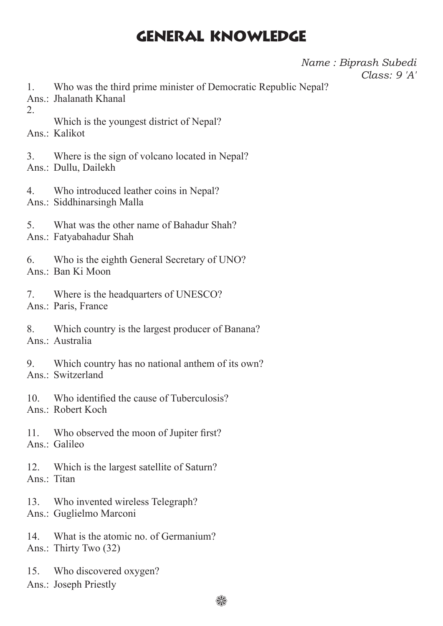#### General Knowledge

*Name : Biprash Subedi Class: 9 'A'*

- 1. Who was the third prime minister of Democratic Republic Nepal?
- Ans.: Jhalanath Khanal
- 2.

Which is the youngest district of Nepal?

Ans.: Kalikot

3. Where is the sign of volcano located in Nepal? Ans.: Dullu, Dailekh

4. Who introduced leather coins in Nepal? Ans.: Siddhinarsingh Malla

- 5. What was the other name of Bahadur Shah?
- Ans.: Fatyabahadur Shah

6. Who is the eighth General Secretary of UNO? Ans.: Ban Ki Moon

7. Where is the headquarters of UNESCO? Ans.: Paris, France

- 8. Which country is the largest producer of Banana? Ans.: Australia
- 9. Which country has no national anthem of its own?

Ans.: Switzerland

- 10. Who identified the cause of Tuberculosis? Ans.: Robert Koch
- 11. Who observed the moon of Jupiter first? Ans<sup>.</sup> Galileo

12. Which is the largest satellite of Saturn? Ans · Titan

- 13. Who invented wireless Telegraph? Ans.: Guglielmo Marconi
- 14. What is the atomic no. of Germanium? Ans.: Thirty Two (32)
- 15. Who discovered oxygen?

Ans.: Joseph Priestly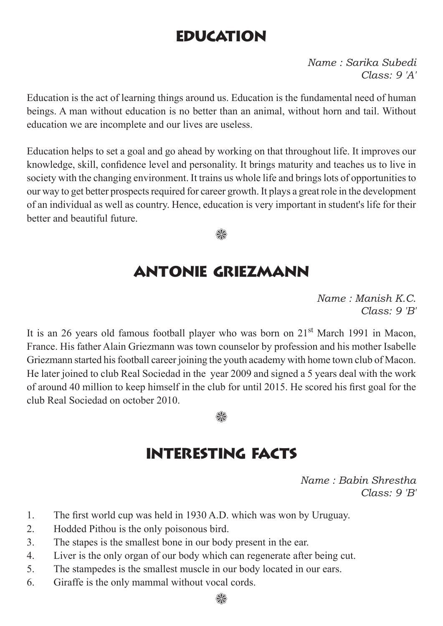# **EDUCATION**

*Name : Sarika Subedi Class: 9 'A'*

Education is the act of learning things around us. Education is the fundamental need of human beings. A man without education is no better than an animal, without horn and tail. Without education we are incomplete and our lives are useless.

Education helps to set a goal and go ahead by working on that throughout life. It improves our knowledge, skill, confidence level and personality. It brings maturity and teaches us to live in society with the changing environment. It trains us whole life and brings lots of opportunities to our way to get better prospects required for career growth. It plays a great role in the development of an individual as well as country. Hence, education is very important in student's life for their better and beautiful future.

▒

## Antonie Griezmann

*Name : Manish K.C. Class: 9 'B'*

It is an 26 years old famous football player who was born on 21<sup>st</sup> March 1991 in Macon, France. His father Alain Griezmann was town counselor by profession and his mother Isabelle Griezmann started his football career joining the youth academy with home town club of Macon. He later joined to club Real Sociedad in the year 2009 and signed a 5 years deal with the work of around 40 million to keep himself in the club for until 2015. He scored his first goal for the club Real Sociedad on october 2010.



## Interesting Facts

*Name : Babin Shrestha Class: 9 'B'*

- 1. The first world cup was held in 1930 A.D. which was won by Uruguay.
- 2. Hodded Pithou is the only poisonous bird.
- 3. The stapes is the smallest bone in our body present in the ear.
- 4. Liver is the only organ of our body which can regenerate after being cut.
- 5. The stampedes is the smallest muscle in our body located in our ears.
- 6. Giraffe is the only mammal without vocal cords.

∰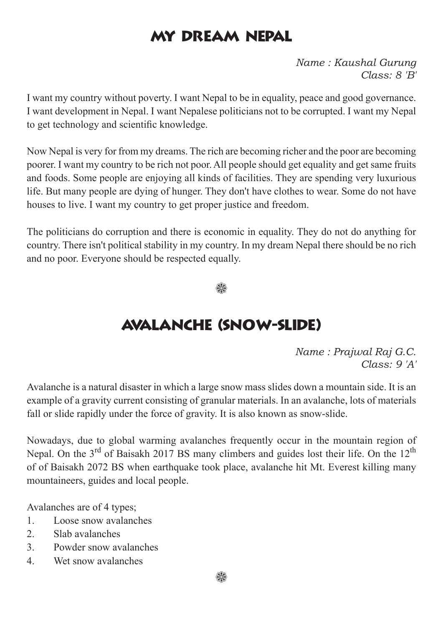## My Dream Nepal

*Name : Kaushal Gurung Class: 8 'B'*

I want my country without poverty. I want Nepal to be in equality, peace and good governance. I want development in Nepal. I want Nepalese politicians not to be corrupted. I want my Nepal to get technology and scientific knowledge.

Now Nepal is very for from my dreams. The rich are becoming richer and the poor are becoming poorer. I want my country to be rich not poor. All people should get equality and get same fruits and foods. Some people are enjoying all kinds of facilities. They are spending very luxurious life. But many people are dying of hunger. They don't have clothes to wear. Some do not have houses to live. I want my country to get proper justice and freedom.

The politicians do corruption and there is economic in equality. They do not do anything for country. There isn't political stability in my country. In my dream Nepal there should be no rich and no poor. Everyone should be respected equally.

▒

## Avalanche (Snow-slide)

*Name : Prajwal Raj G.C. Class: 9 'A'*

Avalanche is a natural disaster in which a large snow mass slides down a mountain side. It is an example of a gravity current consisting of granular materials. In an avalanche, lots of materials fall or slide rapidly under the force of gravity. It is also known as snow-slide.

Nowadays, due to global warming avalanches frequently occur in the mountain region of Nepal. On the 3<sup>rd</sup> of Baisakh 2017 BS many climbers and guides lost their life. On the 12<sup>th</sup> of of Baisakh 2072 BS when earthquake took place, avalanche hit Mt. Everest killing many mountaineers, guides and local people.

Avalanches are of 4 types;

- 1. Loose snow avalanches
- 2. Slab avalanches
- 3. Powder snow avalanches
- 4. Wet snow avalanches

₩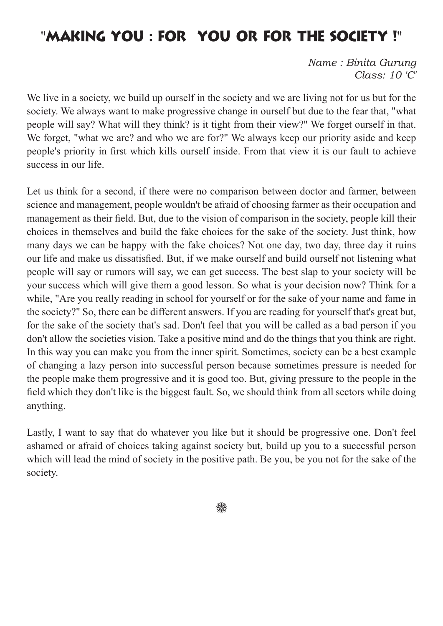## "Making you : for you or for the society !"

*Name : Binita Gurung Class: 10 'C'*

We live in a society, we build up ourself in the society and we are living not for us but for the society. We always want to make progressive change in ourself but due to the fear that, "what people will say? What will they think? is it tight from their view?" We forget ourself in that. We forget, "what we are? and who we are for?" We always keep our priority aside and keep people's priority in first which kills ourself inside. From that view it is our fault to achieve success in our life.

Let us think for a second, if there were no comparison between doctor and farmer, between science and management, people wouldn't be afraid of choosing farmer as their occupation and management as their field. But, due to the vision of comparison in the society, people kill their choices in themselves and build the fake choices for the sake of the society. Just think, how many days we can be happy with the fake choices? Not one day, two day, three day it ruins our life and make us dissatisfied. But, if we make ourself and build ourself not listening what people will say or rumors will say, we can get success. The best slap to your society will be your success which will give them a good lesson. So what is your decision now? Think for a while, "Are you really reading in school for yourself or for the sake of your name and fame in the society?" So, there can be different answers. If you are reading for yourself that's great but, for the sake of the society that's sad. Don't feel that you will be called as a bad person if you don't allow the societies vision. Take a positive mind and do the things that you think are right. In this way you can make you from the inner spirit. Sometimes, society can be a best example of changing a lazy person into successful person because sometimes pressure is needed for the people make them progressive and it is good too. But, giving pressure to the people in the field which they don't like is the biggest fault. So, we should think from all sectors while doing anything.

Lastly, I want to say that do whatever you like but it should be progressive one. Don't feel ashamed or afraid of choices taking against society but, build up you to a successful person which will lead the mind of society in the positive path. Be you, be you not for the sake of the society.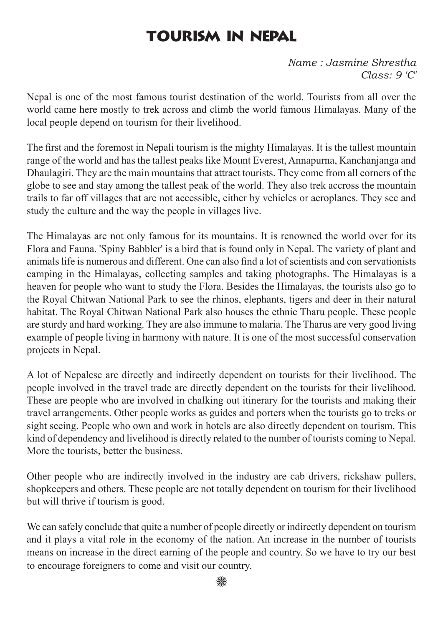## TOURISM IN NEPAL

*Name : Jasmine Shrestha Class: 9 'C'*

Nepal is one of the most famous tourist destination of the world. Tourists from all over the world came here mostly to trek across and climb the world famous Himalayas. Many of the local people depend on tourism for their livelihood.

The first and the foremost in Nepali tourism is the mighty Himalayas. It is the tallest mountain range of the world and has the tallest peaks like Mount Everest, Annapurna, Kanchanjanga and Dhaulagiri. They are the main mountains that attract tourists. They come from all corners of the globe to see and stay among the tallest peak of the world. They also trek accross the mountain trails to far off villages that are not accessible, either by vehicles or aeroplanes. They see and study the culture and the way the people in villages live.

The Himalayas are not only famous for its mountains. It is renowned the world over for its Flora and Fauna. 'Spiny Babbler' is a bird that is found only in Nepal. The variety of plant and animals life is numerous and different. One can also find a lot of scientists and con servationists camping in the Himalayas, collecting samples and taking photographs. The Himalayas is a heaven for people who want to study the Flora. Besides the Himalayas, the tourists also go to the Royal Chitwan National Park to see the rhinos, elephants, tigers and deer in their natural habitat. The Royal Chitwan National Park also houses the ethnic Tharu people. These people are sturdy and hard working. They are also immune to malaria. The Tharus are very good living example of people living in harmony with nature. It is one of the most successful conservation projects in Nepal.

A lot of Nepalese are directly and indirectly dependent on tourists for their livelihood. The people involved in the travel trade are directly dependent on the tourists for their livelihood. These are people who are involved in chalking out itinerary for the tourists and making their travel arrangements. Other people works as guides and porters when the tourists go to treks or sight seeing. People who own and work in hotels are also directly dependent on tourism. This kind of dependency and livelihood is directly related to the number of tourists coming to Nepal. More the tourists, better the business.

Other people who are indirectly involved in the industry are cab drivers, rickshaw pullers, shopkeepers and others. These people are not totally dependent on tourism for their livelihood but will thrive if tourism is good.

We can safely conclude that quite a number of people directly or indirectly dependent on tourism and it plays a vital role in the economy of the nation. An increase in the number of tourists means on increase in the direct earning of the people and country. So we have to try our best to encourage foreigners to come and visit our country.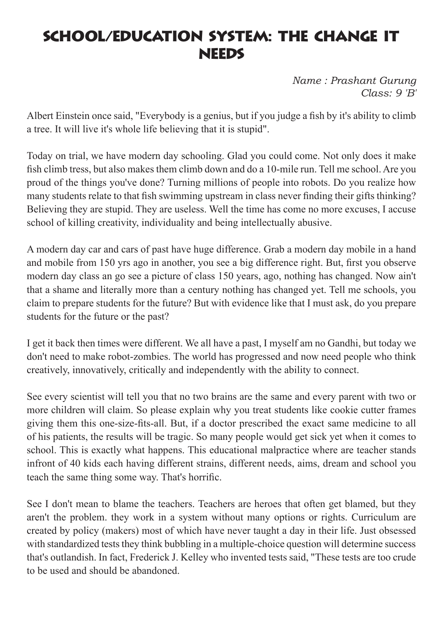#### School/Education System: the change it **NEEDS**

*Name : Prashant Gurung Class: 9 'B'*

Albert Einstein once said, "Everybody is a genius, but if you judge a fish by it's ability to climb a tree. It will live it's whole life believing that it is stupid".

Today on trial, we have modern day schooling. Glad you could come. Not only does it make fish climb tress, but also makes them climb down and do a 10-mile run. Tell me school. Are you proud of the things you've done? Turning millions of people into robots. Do you realize how many students relate to that fish swimming upstream in class never finding their gifts thinking? Believing they are stupid. They are useless. Well the time has come no more excuses, I accuse school of killing creativity, individuality and being intellectually abusive.

A modern day car and cars of past have huge difference. Grab a modern day mobile in a hand and mobile from 150 yrs ago in another, you see a big difference right. But, first you observe modern day class an go see a picture of class 150 years, ago, nothing has changed. Now ain't that a shame and literally more than a century nothing has changed yet. Tell me schools, you claim to prepare students for the future? But with evidence like that I must ask, do you prepare students for the future or the past?

I get it back then times were different. We all have a past, I myself am no Gandhi, but today we don't need to make robot-zombies. The world has progressed and now need people who think creatively, innovatively, critically and independently with the ability to connect.

See every scientist will tell you that no two brains are the same and every parent with two or more children will claim. So please explain why you treat students like cookie cutter frames giving them this one-size-fits-all. But, if a doctor prescribed the exact same medicine to all of his patients, the results will be tragic. So many people would get sick yet when it comes to school. This is exactly what happens. This educational malpractice where are teacher stands infront of 40 kids each having different strains, different needs, aims, dream and school you teach the same thing some way. That's horrific.

See I don't mean to blame the teachers. Teachers are heroes that often get blamed, but they aren't the problem. they work in a system without many options or rights. Curriculum are created by policy (makers) most of which have never taught a day in their life. Just obsessed with standardized tests they think bubbling in a multiple-choice question will determine success that's outlandish. In fact, Frederick J. Kelley who invented tests said, "These tests are too crude to be used and should be abandoned.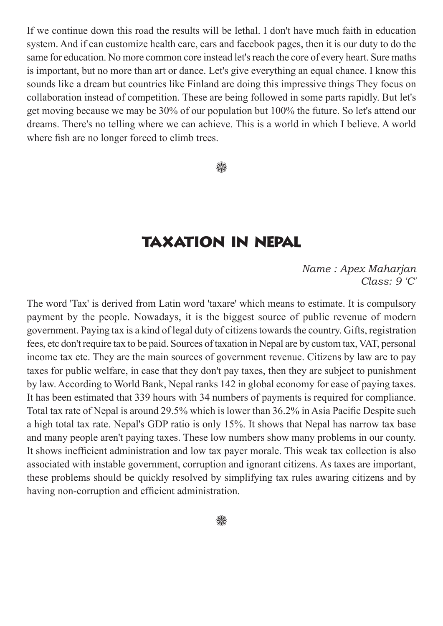If we continue down this road the results will be lethal. I don't have much faith in education system. And if can customize health care, cars and facebook pages, then it is our duty to do the same for education. No more common core instead let's reach the core of every heart. Sure maths is important, but no more than art or dance. Let's give everything an equal chance. I know this sounds like a dream but countries like Finland are doing this impressive things They focus on collaboration instead of competition. These are being followed in some parts rapidly. But let's get moving because we may be 30% of our population but 100% the future. So let's attend our dreams. There's no telling where we can achieve. This is a world in which I believe. A world where fish are no longer forced to climb trees.

▒

#### Taxation IN Nepal

*Name : Apex Maharjan Class: 9 'C'*

The word 'Tax' is derived from Latin word 'taxare' which means to estimate. It is compulsory payment by the people. Nowadays, it is the biggest source of public revenue of modern government. Paying tax is a kind of legal duty of citizens towards the country. Gifts, registration fees, etc don't require tax to be paid. Sources of taxation in Nepal are by custom tax, VAT, personal income tax etc. They are the main sources of government revenue. Citizens by law are to pay taxes for public welfare, in case that they don't pay taxes, then they are subject to punishment by law. According to World Bank, Nepal ranks 142 in global economy for ease of paying taxes. It has been estimated that 339 hours with 34 numbers of payments is required for compliance. Total tax rate of Nepal is around 29.5% which is lower than 36.2% in Asia Pacific Despite such a high total tax rate. Nepal's GDP ratio is only 15%. It shows that Nepal has narrow tax base and many people aren't paying taxes. These low numbers show many problems in our county. It shows inefficient administration and low tax payer morale. This weak tax collection is also associated with instable government, corruption and ignorant citizens. As taxes are important, these problems should be quickly resolved by simplifying tax rules awaring citizens and by having non-corruption and efficient administration.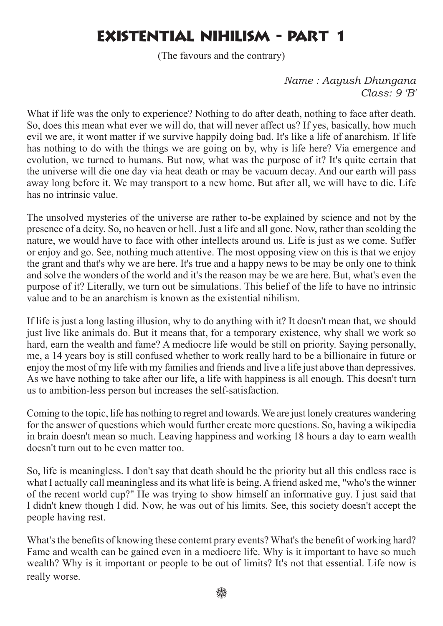# Existential Nihilism - Part 1

(The favours and the contrary)

*Name : Aayush Dhungana Class: 9 'B'*

What if life was the only to experience? Nothing to do after death, nothing to face after death. So, does this mean what ever we will do, that will never affect us? If yes, basically, how much evil we are, it wont matter if we survive happily doing bad. It's like a life of anarchism. If life has nothing to do with the things we are going on by, why is life here? Via emergence and evolution, we turned to humans. But now, what was the purpose of it? It's quite certain that the universe will die one day via heat death or may be vacuum decay. And our earth will pass away long before it. We may transport to a new home. But after all, we will have to die. Life has no intrinsic value.

The unsolved mysteries of the universe are rather to-be explained by science and not by the presence of a deity. So, no heaven or hell. Just a life and all gone. Now, rather than scolding the nature, we would have to face with other intellects around us. Life is just as we come. Suffer or enjoy and go. See, nothing much attentive. The most opposing view on this is that we enjoy the grant and that's why we are here. It's true and a happy news to be may be only one to think and solve the wonders of the world and it's the reason may be we are here. But, what's even the purpose of it? Literally, we turn out be simulations. This belief of the life to have no intrinsic value and to be an anarchism is known as the existential nihilism.

If life is just a long lasting illusion, why to do anything with it? It doesn't mean that, we should just live like animals do. But it means that, for a temporary existence, why shall we work so hard, earn the wealth and fame? A mediocre life would be still on priority. Saying personally, me, a 14 years boy is still confused whether to work really hard to be a billionaire in future or enjoy the most of my life with my families and friends and live a life just above than depressives. As we have nothing to take after our life, a life with happiness is all enough. This doesn't turn us to ambition-less person but increases the self-satisfaction.

Coming to the topic, life has nothing to regret and towards. We are just lonely creatures wandering for the answer of questions which would further create more questions. So, having a wikipedia in brain doesn't mean so much. Leaving happiness and working 18 hours a day to earn wealth doesn't turn out to be even matter too.

So, life is meaningless. I don't say that death should be the priority but all this endless race is what I actually call meaningless and its what life is being. A friend asked me, "who's the winner of the recent world cup?" He was trying to show himself an informative guy. I just said that I didn't knew though I did. Now, he was out of his limits. See, this society doesn't accept the people having rest.

What's the benefits of knowing these contemt prary events? What's the benefit of working hard? Fame and wealth can be gained even in a mediocre life. Why is it important to have so much wealth? Why is it important or people to be out of limits? It's not that essential. Life now is really worse.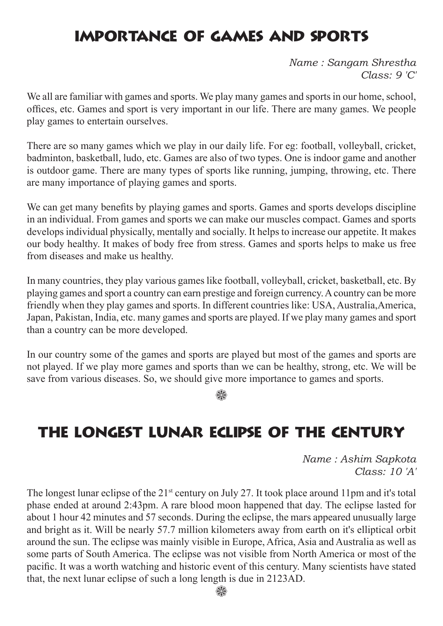## Importance of Games and Sports

*Name : Sangam Shrestha Class: 9 'C'*

We all are familiar with games and sports. We play many games and sports in our home, school, offices, etc. Games and sport is very important in our life. There are many games. We people play games to entertain ourselves.

There are so many games which we play in our daily life. For eg: football, volleyball, cricket, badminton, basketball, ludo, etc. Games are also of two types. One is indoor game and another is outdoor game. There are many types of sports like running, jumping, throwing, etc. There are many importance of playing games and sports.

We can get many benefits by playing games and sports. Games and sports develops discipline in an individual. From games and sports we can make our muscles compact. Games and sports develops individual physically, mentally and socially. It helps to increase our appetite. It makes our body healthy. It makes of body free from stress. Games and sports helps to make us free from diseases and make us healthy.

In many countries, they play various games like football, volleyball, cricket, basketball, etc. By playing games and sport a country can earn prestige and foreign currency. A country can be more friendly when they play games and sports. In different countries like: USA, Australia,America, Japan, Pakistan, India, etc. many games and sports are played. If we play many games and sport than a country can be more developed.

In our country some of the games and sports are played but most of the games and sports are not played. If we play more games and sports than we can be healthy, strong, etc. We will be save from various diseases. So, we should give more importance to games and sports.

₩

## The Longest Lunar eclipse of the Century

*Name : Ashim Sapkota Class: 10 'A'*

The longest lunar eclipse of the 21<sup>st</sup> century on July 27. It took place around 11pm and it's total phase ended at around 2:43pm. A rare blood moon happened that day. The eclipse lasted for about 1 hour 42 minutes and 57 seconds. During the eclipse, the mars appeared unusually large and bright as it. Will be nearly 57.7 million kilometers away from earth on it's elliptical orbit around the sun. The eclipse was mainly visible in Europe, Africa, Asia and Australia as well as some parts of South America. The eclipse was not visible from North America or most of the pacific. It was a worth watching and historic event of this century. Many scientists have stated that, the next lunar eclipse of such a long length is due in 2123AD.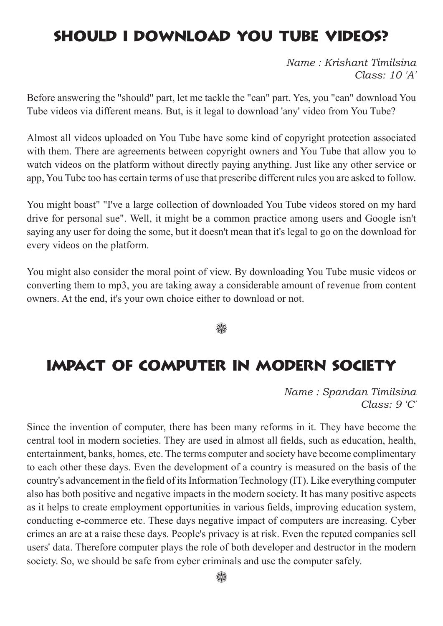## Should I Download You Tube Videos?

*Name : Krishant Timilsina Class: 10 'A'*

Before answering the "should" part, let me tackle the "can" part. Yes, you "can" download You Tube videos via different means. But, is it legal to download 'any' video from You Tube?

Almost all videos uploaded on You Tube have some kind of copyright protection associated with them. There are agreements between copyright owners and You Tube that allow you to watch videos on the platform without directly paying anything. Just like any other service or app, You Tube too has certain terms of use that prescribe different rules you are asked to follow.

You might boast" "I've a large collection of downloaded You Tube videos stored on my hard drive for personal sue". Well, it might be a common practice among users and Google isn't saying any user for doing the some, but it doesn't mean that it's legal to go on the download for every videos on the platform.

You might also consider the moral point of view. By downloading You Tube music videos or converting them to mp3, you are taking away a considerable amount of revenue from content owners. At the end, it's your own choice either to download or not.

#### 83

#### Impact of Computer in Modern Society

*Name : Spandan Timilsina Class: 9 'C'*

Since the invention of computer, there has been many reforms in it. They have become the central tool in modern societies. They are used in almost all fields, such as education, health, entertainment, banks, homes, etc. The terms computer and society have become complimentary to each other these days. Even the development of a country is measured on the basis of the country's advancement in the field of its Information Technology (IT). Like everything computer also has both positive and negative impacts in the modern society. It has many positive aspects as it helps to create employment opportunities in various fields, improving education system, conducting e-commerce etc. These days negative impact of computers are increasing. Cyber crimes an are at a raise these days. People's privacy is at risk. Even the reputed companies sell users' data. Therefore computer plays the role of both developer and destructor in the modern society. So, we should be safe from cyber criminals and use the computer safely.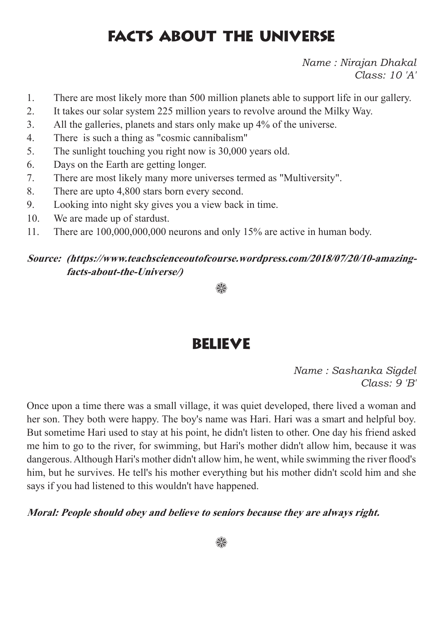## Facts about the Universe

*Name : Nirajan Dhakal Class: 10 'A'*

- 1. There are most likely more than 500 million planets able to support life in our gallery.
- 2. It takes our solar system 225 million years to revolve around the Milky Way.
- 3. All the galleries, planets and stars only make up 4% of the universe.
- 4. There is such a thing as "cosmic cannibalism"
- 5. The sunlight touching you right now is 30,000 years old.
- 6. Days on the Earth are getting longer.
- 7. There are most likely many more universes termed as "Multiversity".
- 8. There are upto 4,800 stars born every second.
- 9. Looking into night sky gives you a view back in time.
- 10. We are made up of stardust.
- 11. There are 100,000,000,000 neurons and only 15% are active in human body.

#### **Source: (https://www.teachscienceoutofcourse.wordpress.com/2018/07/20/10-amazingfacts-about-the-Universe/)**

▒

#### Believe

*Name : Sashanka Sigdel Class: 9 'B'*

Once upon a time there was a small village, it was quiet developed, there lived a woman and her son. They both were happy. The boy's name was Hari. Hari was a smart and helpful boy. But sometime Hari used to stay at his point, he didn't listen to other. One day his friend asked me him to go to the river, for swimming, but Hari's mother didn't allow him, because it was dangerous. Although Hari's mother didn't allow him, he went, while swimming the river flood's him, but he survives. He tell's his mother everything but his mother didn't scold him and she says if you had listened to this wouldn't have happened.

#### **Moral: People should obey and believe to seniors because they are always right.**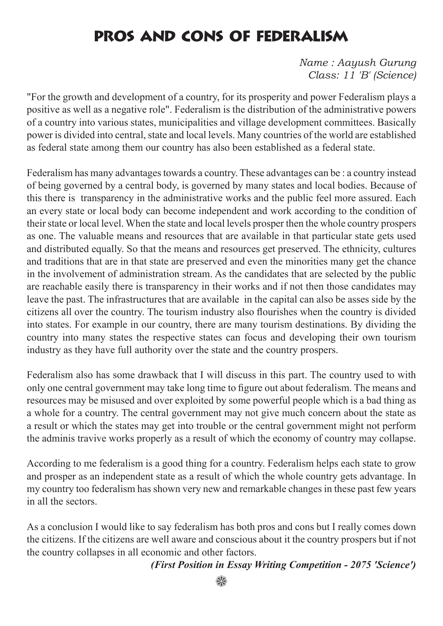# Pros and Cons of Federalism

*Name : Aayush Gurung Class: 11 'B' (Science)*

"For the growth and development of a country, for its prosperity and power Federalism plays a positive as well as a negative role". Federalism is the distribution of the administrative powers of a country into various states, municipalities and village development committees. Basically power is divided into central, state and local levels. Many countries of the world are established as federal state among them our country has also been established as a federal state.

Federalism has many advantages towards a country. These advantages can be : a country instead of being governed by a central body, is governed by many states and local bodies. Because of this there is transparency in the administrative works and the public feel more assured. Each an every state or local body can become independent and work according to the condition of their state or local level. When the state and local levels prosper then the whole country prospers as one. The valuable means and resources that are available in that particular state gets used and distributed equally. So that the means and resources get preserved. The ethnicity, cultures and traditions that are in that state are preserved and even the minorities many get the chance in the involvement of administration stream. As the candidates that are selected by the public are reachable easily there is transparency in their works and if not then those candidates may leave the past. The infrastructures that are available in the capital can also be asses side by the citizens all over the country. The tourism industry also flourishes when the country is divided into states. For example in our country, there are many tourism destinations. By dividing the country into many states the respective states can focus and developing their own tourism industry as they have full authority over the state and the country prospers.

Federalism also has some drawback that I will discuss in this part. The country used to with only one central government may take long time to figure out about federalism. The means and resources may be misused and over exploited by some powerful people which is a bad thing as a whole for a country. The central government may not give much concern about the state as a result or which the states may get into trouble or the central government might not perform the adminis travive works properly as a result of which the economy of country may collapse.

According to me federalism is a good thing for a country. Federalism helps each state to grow and prosper as an independent state as a result of which the whole country gets advantage. In my country too federalism has shown very new and remarkable changes in these past few years in all the sectors.

As a conclusion I would like to say federalism has both pros and cons but I really comes down the citizens. If the citizens are well aware and conscious about it the country prospers but if not the country collapses in all economic and other factors.

#### *(First Position in Essay Writing Competition - 2075 'Science')*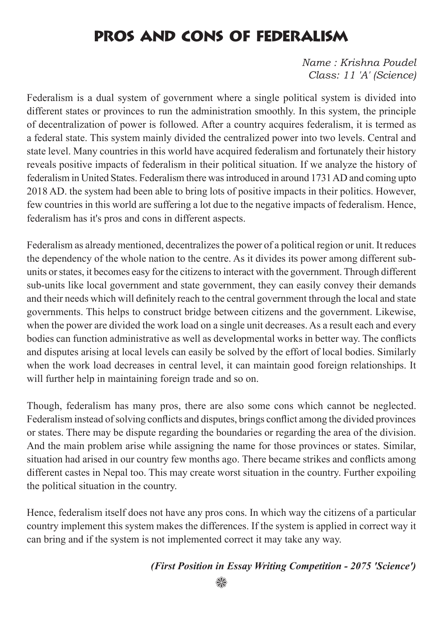# Pros and Cons of Federalism

*Name : Krishna Poudel Class: 11 'A' (Science)*

Federalism is a dual system of government where a single political system is divided into different states or provinces to run the administration smoothly. In this system, the principle of decentralization of power is followed. After a country acquires federalism, it is termed as a federal state. This system mainly divided the centralized power into two levels. Central and state level. Many countries in this world have acquired federalism and fortunately their history reveals positive impacts of federalism in their political situation. If we analyze the history of federalism in United States. Federalism there was introduced in around 1731 AD and coming upto 2018 AD. the system had been able to bring lots of positive impacts in their politics. However, few countries in this world are suffering a lot due to the negative impacts of federalism. Hence, federalism has it's pros and cons in different aspects.

Federalism as already mentioned, decentralizes the power of a political region or unit. It reduces the dependency of the whole nation to the centre. As it divides its power among different subunits or states, it becomes easy for the citizens to interact with the government. Through different sub-units like local government and state government, they can easily convey their demands and their needs which will definitely reach to the central government through the local and state governments. This helps to construct bridge between citizens and the government. Likewise, when the power are divided the work load on a single unit decreases. As a result each and every bodies can function administrative as well as developmental works in better way. The conflicts and disputes arising at local levels can easily be solved by the effort of local bodies. Similarly when the work load decreases in central level, it can maintain good foreign relationships. It will further help in maintaining foreign trade and so on.

Though, federalism has many pros, there are also some cons which cannot be neglected. Federalism instead of solving conflicts and disputes, brings conflict among the divided provinces or states. There may be dispute regarding the boundaries or regarding the area of the division. And the main problem arise while assigning the name for those provinces or states. Similar, situation had arised in our country few months ago. There became strikes and conflicts among different castes in Nepal too. This may create worst situation in the country. Further expoiling the political situation in the country.

Hence, federalism itself does not have any pros cons. In which way the citizens of a particular country implement this system makes the differences. If the system is applied in correct way it can bring and if the system is not implemented correct it may take any way.

#### *(First Position in Essay Writing Competition - 2075 'Science')*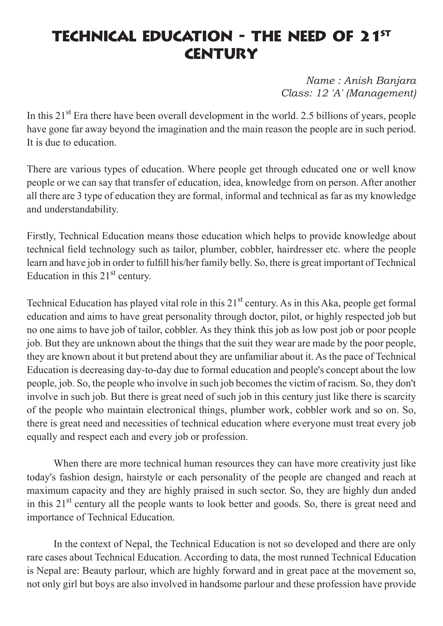## TECHNICAL EDUCATION - THE NEED OF 21<sup>ST</sup> **CENTURY**

*Name : Anish Banjara Class: 12 'A' (Management)*

In this 21<sup>st</sup> Era there have been overall development in the world. 2.5 billions of years, people have gone far away beyond the imagination and the main reason the people are in such period. It is due to education.

There are various types of education. Where people get through educated one or well know people or we can say that transfer of education, idea, knowledge from on person. After another all there are 3 type of education they are formal, informal and technical as far as my knowledge and understandability.

Firstly, Technical Education means those education which helps to provide knowledge about technical field technology such as tailor, plumber, cobbler, hairdresser etc. where the people learn and have job in order to fulfill his/her family belly. So, there is great important of Technical Education in this  $21<sup>st</sup>$  century.

Technical Education has played vital role in this 21<sup>st</sup> century. As in this Aka, people get formal education and aims to have great personality through doctor, pilot, or highly respected job but no one aims to have job of tailor, cobbler. As they think this job as low post job or poor people job. But they are unknown about the things that the suit they wear are made by the poor people, they are known about it but pretend about they are unfamiliar about it. As the pace of Technical Education is decreasing day-to-day due to formal education and people's concept about the low people, job. So, the people who involve in such job becomes the victim of racism. So, they don't involve in such job. But there is great need of such job in this century just like there is scarcity of the people who maintain electronical things, plumber work, cobbler work and so on. So, there is great need and necessities of technical education where everyone must treat every job equally and respect each and every job or profession.

When there are more technical human resources they can have more creativity just like today's fashion design, hairstyle or each personality of the people are changed and reach at maximum capacity and they are highly praised in such sector. So, they are highly dun anded in this 21<sup>st</sup> century all the people wants to look better and goods. So, there is great need and importance of Technical Education.

In the context of Nepal, the Technical Education is not so developed and there are only rare cases about Technical Education. According to data, the most runned Technical Education is Nepal are: Beauty parlour, which are highly forward and in great pace at the movement so, not only girl but boys are also involved in handsome parlour and these profession have provide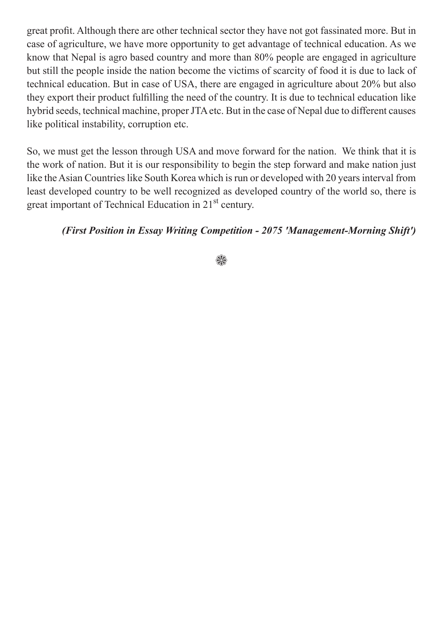great profit. Although there are other technical sector they have not got fassinated more. But in case of agriculture, we have more opportunity to get advantage of technical education. As we know that Nepal is agro based country and more than 80% people are engaged in agriculture but still the people inside the nation become the victims of scarcity of food it is due to lack of technical education. But in case of USA, there are engaged in agriculture about 20% but also they export their product fulfilling the need of the country. It is due to technical education like hybrid seeds, technical machine, proper JTA etc. But in the case of Nepal due to different causes like political instability, corruption etc.

So, we must get the lesson through USA and move forward for the nation. We think that it is the work of nation. But it is our responsibility to begin the step forward and make nation just like the Asian Countries like South Korea which is run or developed with 20 years interval from least developed country to be well recognized as developed country of the world so, there is great important of Technical Education in 21st century.

#### *(First Position in Essay Writing Competition - 2075 'Management-Morning Shift')*

#### 92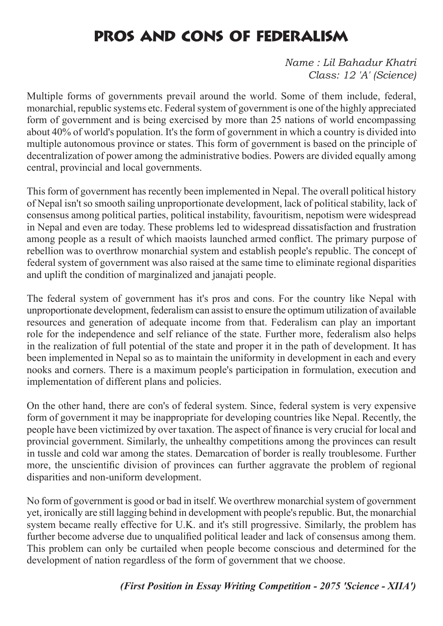# Pros and Cons of Federalism

*Name : Lil Bahadur Khatri Class: 12 'A' (Science)*

Multiple forms of governments prevail around the world. Some of them include, federal, monarchial, republic systems etc. Federal system of government is one of the highly appreciated form of government and is being exercised by more than 25 nations of world encompassing about 40% of world's population. It's the form of government in which a country is divided into multiple autonomous province or states. This form of government is based on the principle of decentralization of power among the administrative bodies. Powers are divided equally among central, provincial and local governments.

This form of government has recently been implemented in Nepal. The overall political history of Nepal isn't so smooth sailing unproportionate development, lack of political stability, lack of consensus among political parties, political instability, favouritism, nepotism were widespread in Nepal and even are today. These problems led to widespread dissatisfaction and frustration among people as a result of which maoists launched armed conflict. The primary purpose of rebellion was to overthrow monarchial system and establish people's republic. The concept of federal system of government was also raised at the same time to eliminate regional disparities and uplift the condition of marginalized and janajati people.

The federal system of government has it's pros and cons. For the country like Nepal with unproportionate development, federalism can assist to ensure the optimum utilization of available resources and generation of adequate income from that. Federalism can play an important role for the independence and self reliance of the state. Further more, federalism also helps in the realization of full potential of the state and proper it in the path of development. It has been implemented in Nepal so as to maintain the uniformity in development in each and every nooks and corners. There is a maximum people's participation in formulation, execution and implementation of different plans and policies.

On the other hand, there are con's of federal system. Since, federal system is very expensive form of government it may be inappropriate for developing countries like Nepal. Recently, the people have been victimized by over taxation. The aspect of finance is very crucial for local and provincial government. Similarly, the unhealthy competitions among the provinces can result in tussle and cold war among the states. Demarcation of border is really troublesome. Further more, the unscientific division of provinces can further aggravate the problem of regional disparities and non-uniform development.

No form of government is good or bad in itself. We overthrew monarchial system of government yet, ironically are still lagging behind in development with people's republic. But, the monarchial system became really effective for U.K. and it's still progressive. Similarly, the problem has further become adverse due to unqualified political leader and lack of consensus among them. This problem can only be curtailed when people become conscious and determined for the development of nation regardless of the form of government that we choose.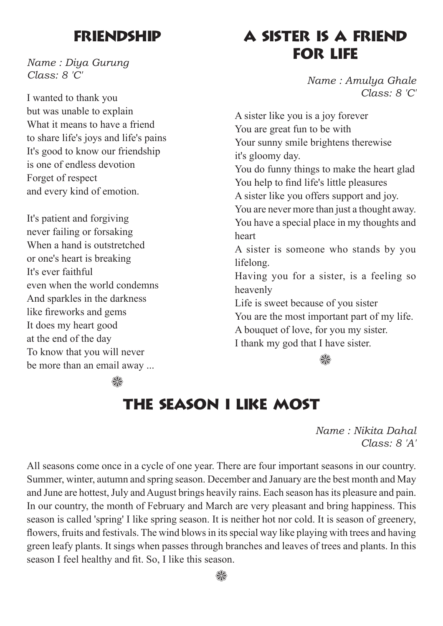#### **FRIENDSHIP**

*Name : Diya Gurung Class: 8 'C'*

I wanted to thank you but was unable to explain What it means to have a friend to share life's joys and life's pains It's good to know our friendship is one of endless devotion Forget of respect and every kind of emotion.

It's patient and forgiving never failing or forsaking When a hand is outstretched or one's heart is breaking It's ever faithful even when the world condemns And sparkles in the darkness like fireworks and gems It does my heart good at the end of the day To know that you will never be more than an email away ...

#### A Sister is a Friend for Life

*Name : Amulya Ghale Class: 8 'C'*

A sister like you is a joy forever You are great fun to be with Your sunny smile brightens therewise it's gloomy day. You do funny things to make the heart glad You help to find life's little pleasures A sister like you offers support and joy. You are never more than just a thought away. You have a special place in my thoughts and heart A sister is someone who stands by you lifelong. Having you for a sister, is a feeling so heavenly Life is sweet because of you sister You are the most important part of my life. A bouquet of love, for you my sister. I thank my god that I have sister.

₩

#### SK.

#### The Season I LIke Most

*Name : Nikita Dahal Class: 8 'A'*

All seasons come once in a cycle of one year. There are four important seasons in our country. Summer, winter, autumn and spring season. December and January are the best month and May and June are hottest, July and August brings heavily rains. Each season has its pleasure and pain. In our country, the month of February and March are very pleasant and bring happiness. This season is called 'spring' I like spring season. It is neither hot nor cold. It is season of greenery, flowers, fruits and festivals. The wind blows in its special way like playing with trees and having green leafy plants. It sings when passes through branches and leaves of trees and plants. In this season I feel healthy and fit. So, I like this season.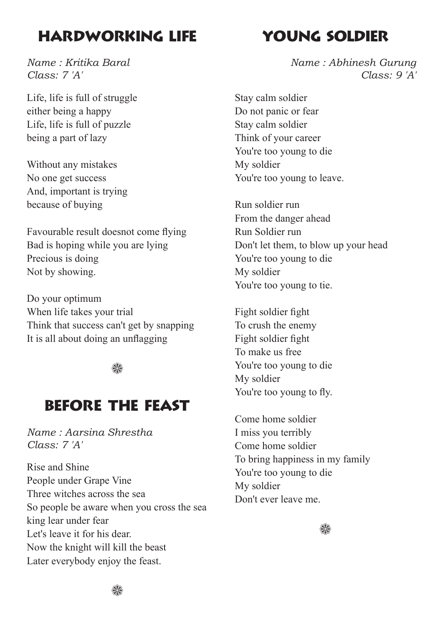#### Hardworking Life

*Name : Kritika Baral Class: 7 'A'*

Life, life is full of struggle either being a happy Life, life is full of puzzle being a part of lazy

Without any mistakes No one get success And, important is trying because of buying

Favourable result doesnot come flying Bad is hoping while you are lying Precious is doing Not by showing.

Do your optimum When life takes your trial Think that success can't get by snapping It is all about doing an unflagging

#### ₩

#### Before the Feast

*Name : Aarsina Shrestha Class: 7 'A'*

Rise and Shine People under Grape Vine Three witches across the sea So people be aware when you cross the sea king lear under fear Let's leave it for his dear. Now the knight will kill the beast Later everybody enjoy the feast.

#### YOUNG SOLDIER

*Name : Abhinesh Gurung Class: 9 'A'*

Stay calm soldier Do not panic or fear Stay calm soldier Think of your career You're too young to die My soldier You're too young to leave.

Run soldier run From the danger ahead Run Soldier run Don't let them, to blow up your head You're too young to die My soldier You're too young to tie.

Fight soldier fight To crush the enemy Fight soldier fight To make us free You're too young to die My soldier You're too young to fly.

Come home soldier I miss you terribly Come home soldier To bring happiness in my family You're too young to die My soldier Don't ever leave me.

₩

∰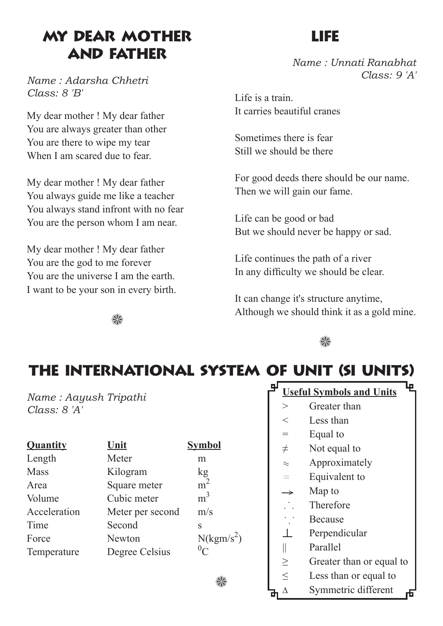#### My Dear Mother and Father

*Name : Adarsha Chhetri Class: 8 'B'*

My dear mother ! My dear father You are always greater than other You are there to wipe my tear When I am scared due to fear.

My dear mother ! My dear father You always guide me like a teacher You always stand infront with no fear You are the person whom I am near.

My dear mother ! My dear father You are the god to me forever You are the universe I am the earth. I want to be your son in every birth.

#### Life

*Name : Unnati Ranabhat Class: 9 'A'*

Life is a train It carries beautiful cranes

Sometimes there is fear Still we should be there

For good deeds there should be our name. Then we will gain our fame.

Life can be good or bad But we should never be happy or sad.

Life continues the path of a river In any difficulty we should be clear.

It can change it's structure anytime, Although we should think it as a gold mine.

₩



# The International System of Unit (SI Units)

*Name : Aayush Tripathi Class: 8 'A'*

| <b>Quantity</b> | Unit             | <b>Symbol</b>          |
|-----------------|------------------|------------------------|
| Length          | Meter            | m                      |
| <b>Mass</b>     | Kilogram         | kg                     |
| Area            | Square meter     | m <sup>2</sup>         |
| Volume          | Cubic meter      | m <sup>3</sup>         |
| Acceleration    | Meter per second | m/s                    |
| Time            | Second           | S                      |
| Force           | <b>Newton</b>    | N(kgm/s <sup>2</sup> ) |
| Temperature     | Degree Celsius   | ${}^0\!C$              |
|                 |                  |                        |

#### **Useful Symbols and Units**

- > Greater than
- < Less than
- = Equal to
- $\neq$  Not equal to
- $\approx$  Approximately
- $\equiv$  Equivalent to
- Map to **>**
- Therefore . . .
- Because . . .
- Perpendicular ⊥
- || Parallel
- ≥ Greater than or equal to
- $\leq$  Less than or equal to
- $\triangle$  Symmetric different

₩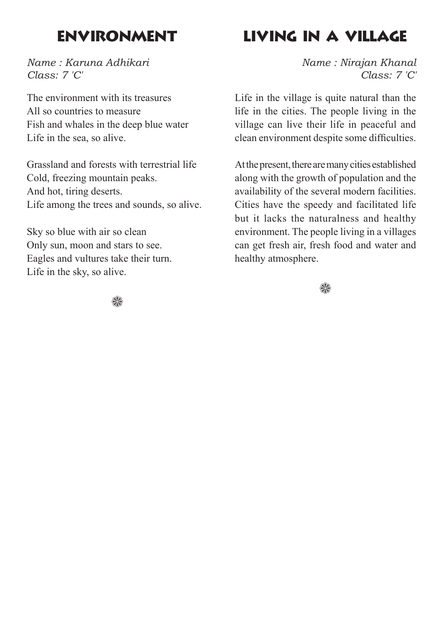## Environment

*Name : Karuna Adhikari Class: 7 'C'*

The environment with its treasures All so countries to measure Fish and whales in the deep blue water Life in the sea, so alive.

Grassland and forests with terrestrial life Cold, freezing mountain peaks. And hot, tiring deserts. Life among the trees and sounds, so alive.

Sky so blue with air so clean Only sun, moon and stars to see. Eagles and vultures take their turn. Life in the sky, so alive.

# Living in a Village

*Name : Nirajan Khanal Class: 7 'C'*

Life in the village is quite natural than the life in the cities. The people living in the village can live their life in peaceful and clean environment despite some difficulties.

At the present, there are many cities established along with the growth of population and the availability of the several modern facilities. Cities have the speedy and facilitated life but it lacks the naturalness and healthy environment. The people living in a villages can get fresh air, fresh food and water and healthy atmosphere.



₩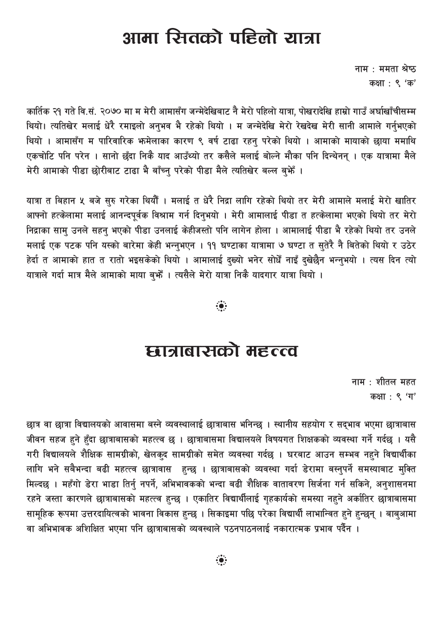# आमा रितको पहिलो यात्रा

नाम $\pm$  ममता श्रेष्ठ कक्षा : ९ 'क'

कार्तिक २१ गते वि.सं. २०७० मा म मेरी आमासँग जन्मेदेखिबाट नै मेरो पहिलो यात्रा, पोखरादेखि हाम्रो गाउँ अर्घाखाँचीसम्म थियो। त्यतिखेर मलाई धेरै रमाइलो अनभव भै रहेको थियो । म जन्मेदेखि मेरो रेखदेख मेरी सानी आमाले गर्नभएको थियो । आमासँग म पारिवारिक भन्मेलाका कारण ९ वर्ष टाढा रहनु परेको थियो । आमाको मायाको छाया ममाथि एकचोटि पनि परेन । सानो छुँदा निकै याद आउँथ्यो तर कसैले मलाई बोल्ने मौका पनि दिन्थेनन् । एक यात्रामा मैले मेरी आमाको पीडा छोरीबाट टाढा भै बाँच्न परेको पीडा मैले त्यतिखेर बल्ल बुभैँ ।

यात्रा त बिहान ५ बजे सुरु गरेका थियौँ । मलाई त धेरै निद्रा लागि रहेको थियो तर मेरी आमाले मलाई मेरो खातिर आफ्नो हत्केलामा मलाई आनन्दपूर्वक विश्राम गर्न दिनुभयो । मेरी आमालाई पीडा त हत्केलामा भएको थियो तर मेरो निद्राका सामु उनले सहनु भएको पीडा उनलाई केहीजस्तो पनि लागेन होला । आमालाई पीडा भै रहेको थियो तर उनले मलाई एक पटक पनि यस्को बारेमा केही भन्नुभएन । ११ घण्टाका यात्रामा ७ घण्टा त सुतेरै नै बितेको थियो र उठेर हेर्दा त आमाको हात त रातो भइसकेको थियो । आमालाई दुख्यो भनेर सोधैँ नाइँ दुखेछैन भन्नुभयो । त्यस दिन त्यो यात्राले गर्दा मात्र मैले आमाको माया ब्फ्गैं । त्यसैले मेरो यात्रा निकै यादगार यात्रा थियो ।

 $\ddot{\bullet}$ 

## द्यात्राबासको महत्त्व

नाम $:$  शीतल महत कक्षा: ९ 'ग'

छात्र वा छात्रा विद्यालयको आवासमा बस्ने व्यवस्थालाई छात्राबास भनिन्छ । स्थानीय सहयोग र सद्भाव भएमा छात्राबास जीवन सहज हुने हुँदा छात्राबासको महत्त्व छ । छात्राबासमा विद्यालयले विषयगत शिक्षकको व्यवस्था गर्ने गर्दछ । यसै गरी विद्यालयले शैक्षिक सामग्रीको, खेलक्द सामग्रीको समेत व्यवस्था गर्दछ । घरबाट आउन सम्भव नहने विद्यार्थीका लागि भने सबैभन्दा बढी महत्त्व छात्रावास हुन्छ । छात्राबासको व्यवस्था गर्दा डेरामा बस्नुपर्ने समस्याबाट मुक्ति मिल्दछ । महँगो डेरा भाडा तिर्नु नपर्ने, अभिभावकको भन्दा बढी शैक्षिक वातावरण सिर्जना गर्न सकिने, अनुशासनमा रहने जस्ता कारणले छात्राबासको महत्त्व हुन्छ । एकातिर विद्यार्थीलाई गृहकार्यको समस्या नहुने अर्कातिर छात्राबासमा सामूहिक रूपमा उत्तरदायित्वको भावना विकास हुन्छ । सिकाइमा पछि परेका विद्यार्थी लाभान्वित हुने हुन्छन् । बाबुआमा वा अभिभावक अशिक्षित भएमा पनि छात्राबासको व्यवस्थाले पठनपाठनलाई नकारात्मक प्रभाव पर्दैन ।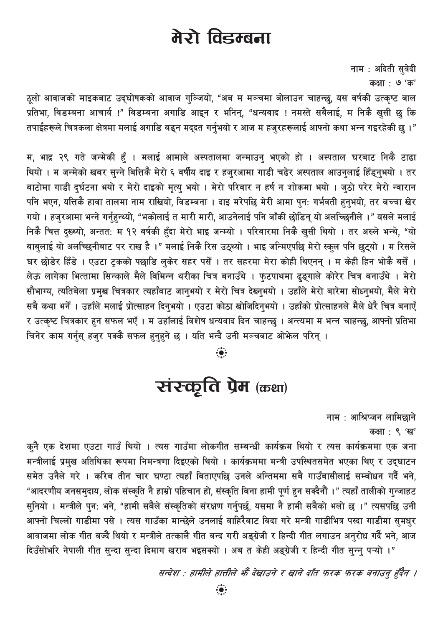# मेरो विडम्बना

नाम: अदिती सुवेदी कक्षा : ७ 'क'

ठूलो आवाजको माइकबाट उद्घोषकको आवाज गुञ्जियो, "अब म मञ्चमा बोलाउन चाहन्छु, यस वर्षकी उत्कृष्ट बाल ्.<br>प्रतिभा, विडम्बना आचार्य !" विडम्बना अगाडि आइन र भनिन्, "धन्यवाद ! नमस्ते सबैलाई, म निकै खुसी छु कि तपाईंहरूले चित्रकला क्षेत्रमा मलाई अगाडि बढन मददत गर्नभयो र आज म हजरहरूलाई आफ्नो कथा भन्न गइरहेकी छ ।"

म, भाद्र २९ गते जन्मेकी हँ । मलाई आमाले अस्पतालमा जन्माउन् भएको हो । अस्पताल घरबाट निकै टाढा थियो । म जन्मेको खबर सुन्ने बित्तिकै मेरो ६ वर्षीय दाइ र हजुरआमा गाडी चढेर अस्पताल आउनुलाई हिँड्नुभयो । तर बाटोमा गाडी दुर्घटना भयो र मेरो दाइको मृत्यु भयो । मेरो परिवार न हर्ष न शोकमा भयो । जुठो परेर मेरो न्वारान पनि भएन, यत्तिकै हावा तालमा नाम राखियो, विडम्बना । दाइ मरेपछि मेरी आमा पुन: गर्भवती हुनुभयो, तर बच्चा खेर गयो । हजुरआमा भन्ने गर्नुहुन्थ्यो, "भकोलाई त मारी मारी, आउनेलाई पनि बाँकी छोडिन् यो अलच्छिनीले ।" यसले मलाई निकै चित्त दुख्थ्यो, अन्तत: म १२ वर्षकी हुँदा मेरो भाइ जन्म्यो । परिवारमा निकै खुसी थियो । तर अरुले भन्थे, "यो बाबुलाई यो अलच्छिनीबाट पर राख है।" मलाई निकै रिस उठ्थ्यो । भाइ जन्मिएपछि मेरो स्कूल पनि छुट्यो । म रिसले घर छोडेर हिंडे । एउटा ट्रकको पछाडि लुकेर सहर पर्सें । तर सहरमा मेरा कोही थिएनन् । म केही हिन भोकै बसेँ । लेऊ लागेका भित्तामा सिन्काले मैले विभिन्न थरीका चित्र बनाउँथे । फुटपाथमा ढ्इगाले कोरेर चित्र बनाउँथे । मेरो सौभाग्य, त्यतिबेला प्रमुख चित्रकार त्यहाँबाट जानुभयो र मेरो चित्र देख्नुभयो । उहाँले मेरो बारेमा सोध्नुभयो, मैले मेरो सबै कथा भनेँ । उहाँले मलाई प्रोत्साहन दिन्भयो । एउटा कोठा खोजिदिन्भयो । उहाँको प्रोत्साहनले मैले धेरै चित्र बनाएँ र उत्कृष्ट चित्रकार हुन सफल भएँ । म उहाँलाई विशेष धन्यवाद दिन चाहन्छ । अन्त्यमा म भन्न चाहन्छ. आफ्नो प्रतिभा चिनेर काम गर्नुस् हजुर पक्कै सफल हुनुहुने छ । यति भन्दै उनी मञ्चबाट ओफेल परिन् ।

# रांस्कृति प्रेम (कथा)

नाम : आश्रिप्जन लामिछाने

कक्षा : ९ 'ख'

कनै एक देशमा एउटा गाउँ थियो । त्यस गाउँमा लोकगीत सम्बन्धी कार्यक्रम थियो र त्यस कार्यक्रममा एक जना मन्त्रीलाई प्रमुख अतिथिका रूपमा निमन्त्रणा दिइएको थियो । कार्यक्रममा मन्त्री उपस्थितसमेत भएका थिए र उद्घाटन समेत उनैले गरे । करिब तीन चार घण्टा त्यहाँ बिताएपछि उनले अन्तिममा सबै गाउँबासीलाई सम्बोधन गर्दै भने, "आदरणीय जनसमुदाय, लोक संस्कृति नै हाम्रो पहिचान हो, संस्कृति बिना हामी पुर्ण हुन सक्दैनौं ।" त्यहाँ तालीको गुन्जाहट सुनियो । मन्त्रीले पुन: भने, "हामी सबैले संस्कृतिको संरक्षण गर्नुपर्छ, यसमा नै हामी सबैको भलो छ ।" त्यसपछि उनी आफ्नो चिल्लो गाडीमा पसे । त्यस गाउँका मान्छेले उनलाई बाहिरैबाट बिदा गरे मन्त्री गाडीभित्र पस्दा गाडीमा सुमधुर आवाजमा लोक गीत बज्दै थियो र मन्त्रीले तत्कालै गीत बन्द गरी अङ्ग्रेजी र हिन्दी गीत लगाउन अनुरोध गर्दै भने, आज दिउँसोभरि नेपाली गीत सुन्दा सुन्दा दिमाग खराब भइसक्यो । अब त केही अङ्ग्रेजी र हिन्दी गीत सुन्नु पऱ्यो ।"

सन्देश : हामीले हात्तीले भैं देखाउने र खाने दाँत फरक फरक बनाउन् हुँदैन ।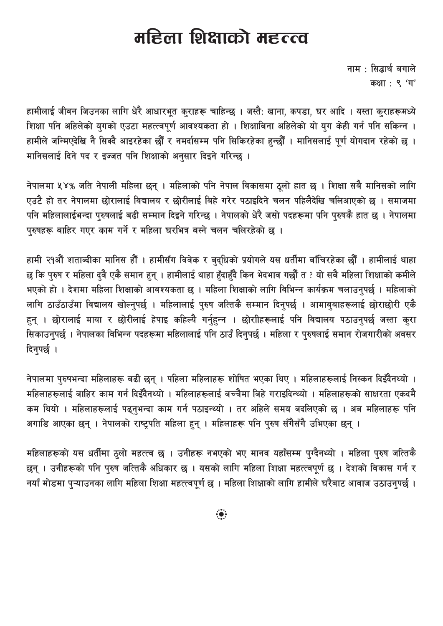# महिला शिक्षाको महत्त्व

नाम : सिद्धार्थ बगाले कक्षा: ९ 'ग'

हामीलाई जीवन जिउनका लागि धेरै आधारभूत कुराहरू चाहिन्छ । जस्तै: खाना, कपडा, घर आदि । यस्ता कुराहरूमध्ये शिक्षा पनि अहिलेको युगको एउटा महत्त्वपूर्ण आवश्यकता हो । शिक्षाबिना अहिलेको यो युग केही गर्न पनि सकिन्न । हामीले जन्मिएदेखि नै सिक्दै आइरहेका छौँ र नमर्दासम्म पनि सिकिरहेका हुन्छौँ । मानिसलाई पूर्ण योगदान रहेको छ । मानिसलाई दिने पद र इज्जत पनि शिक्षाको अनुसार दिइने गरिन्छ ।

नेपालमा ५४% जति नेपाली महिला छन् । महिलाको पनि नेपाल विकासमा ठूलो हात छ । शिक्षा सबै मानिसको लागि एउटै हो तर नेपालमा छोरालाई विद्यालय र छोरीलाई बिहे गरेर पठाइदिने चलन पहिलैदेखि चलिआएको छ । समाजमा पनि महिलालाईभन्दा पुरुषलाई बढी सम्मान दिइने गरिन्छ । नेपालको धेरै जसो पदहरूमा पनि पुरुषकै हात छ । नेपालमा पुरुषहरू बाहिर गएर काम गर्ने र महिला घरभित्र बस्ने चलन चलिरहेको छ ।

हामी २१औं शताब्दीका मानिस हौँ । हामीसँग विवेक र बुद्धिको प्रयोगले यस धर्तीमा बाँचिरहेका छौँ । हामीलाई थाहा छ कि पुरुष र महिला दुवै एकै समान हुन् । हामीलाई थाहा हुँदाहुँदै किन भेदभाव गर्छौं त ? यो सबै महिला शिक्षाको कमीले भएको हो । देशमा महिला शिक्षाको आवश्यकता छ । महिला शिक्षाको लागि विभिन्न कार्यक्रम चलाउनपर्छ । महिलाको लागि ठाउँठाउँमा विद्यालय खोल्नपर्छ । महिलालाई परुष जत्तिकै सम्मान दिनपर्छ । आमाबबाहरूलाई छोराछोरी एकै हुन् । छोरालाई माया र छोरीलाई हेपाइ कहिल्यै गर्नुहुन्न । छोरीहिरूलाई पनि विद्यालय पठाउनुपर्छ जस्ता कुरा सिकाउन्पर्छ । नेपालका विभिन्न पदहरूमा महिलालाई पनि ठाउँ दिन्पर्छ । महिला र पुरुषलाई समान रोजगारीको अवसर दिनुपर्छ ।

नेपालमा पुरुषभन्दा महिलाहरू बढी छन् । पहिला महिलाहरू शोषित भएका थिए । महिलाहरूलाई निस्कन दिइँदैनथ्यो । महिलाहरूलाई बाहिर काम गर्न दिइँदैनथ्यो । महिलाहरूलाई बच्चैमा बिहे गराइदिन्थ्यो । महिलाहरूको साक्षरता एकदमै कम थियो । महिलाहरूलाई पढ्नुभन्दा काम गर्न पठाइन्थ्यो । तर अहिले समय बदलिएको छ । अब महिलाहरू पनि अगाडि आएका छन् । नेपालको राष्ट्रपति महिला हुन् । महिलाहरू पनि पुरुष सँगैसँगै उभिएका छन् ।

महिलाहरूको यस धर्तीमा ठुलो महत्त्व छ । उनीहरू नभएको भए मानव यहाँसम्म पुग्दैनथ्यो । महिला पुरुष जत्तिकै छन् । उनीहरूको पनि पुरुष जत्तिकै अधिकार छ । यसको लागि महिला शिक्षा महत्त्वपूर्ण छ । देशको विकास गर्न र नयाँ मोडमा पुऱ्याउनका लागि महिला शिक्षा महत्त्वपूर्ण छ । महिला शिक्षाको लागि हामीले घरैबाट आवाज उठाउनुपर्छ ।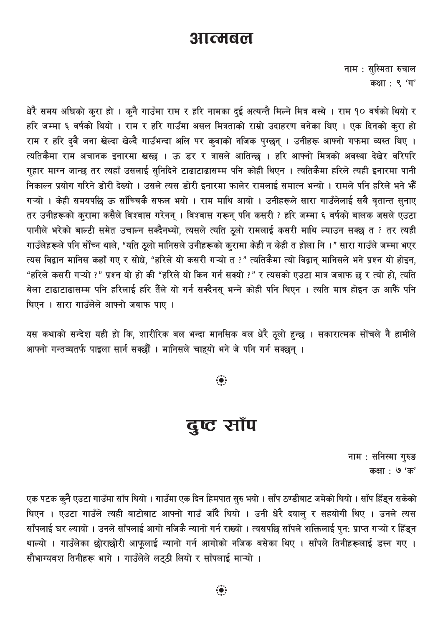#### <u> अात्मबल</u>

नाम : सुस्मिता रुचाल कक्षा: ९ 'ग'

धेरै समय अघिको करा हो । कुनै गाउँमा राम र हरि नामका दुई अत्यन्तै मिल्ने मित्र बस्थे । राम १० वर्षको थियो र हरि जम्मा ६ वर्षको थियो । राम र हरि गाउँमा असल मित्रताको राम्रो उदाहरण बनेका थिए । एक दिनको कुरा हो राम र हरि दुबै जना खेल्दा खेल्दै गाउँभन्दा अलि पर कुवाको नजिक पुग्छन् । उनीहरू आफ्नो गफमा व्यस्त थिए । त्यतिकैमा राम अचानक इनारमा खस्छ । ऊ डर र त्रासले आतिन्छ । हरि आफ्नो मित्रको अवस्था देखेर वरिपरि गुहार माग्न जान्छ तर त्यहाँ उसलाई सुनिदिने टाढाटाढासम्म पनि कोही थिएन । त्यतिकैमा हरिले त्यही इनारमा पानी निकाल्न प्रयोग गरिने डोरी देख्यो । उसले त्यस डोरी इनारमा फालेर रामलाई समात्न भन्यो । रामले पनि हरिले भने भेँ गऱ्यो । केही समयपछि ऊ साँच्चिकै सफल भयो । राम माथि आयो । उनीहरूले सारा गाउँलेलाई सबै वृतान्त सुनाए तर उनीहरूको कुरामा कसैले विश्वास गरेनन् । विश्वास गरून् पनि कसरी ? हरि जम्मा ६ वर्षको बालक जसले एउटा पानीले भरेको बाल्टी समेत उचाल्न सक्दैनथ्यो, त्यसले त्यति ठूलो रामलाई कसरी माथि ल्याउन सक्छ त ? तर त्यही गाउँलेहरूले पनि सौँच्न थाले, "यति ठूलो मानिसले उनीहरूको कुरामा केही न केही त होला नि ।" सारा गाउँले जम्मा भएर त्यस विद्वान मानिस कहाँ गए र सोधे, "हरिले यो कसरी गऱ्यो त ?" त्यतिकैमा त्यो विद्वान् मानिसले भने प्रश्न यो होइन, "हरिले कसरी गऱ्यो ?" प्रश्न यो हो की "हरिले यो किन गर्न सक्यो ?" र त्यसको एउटा मात्र जवाफ छ र त्यो हो, त्यति बेला टाढाटाढासम्म पनि हरिलाई हरि तैंले यो गर्न सक्दैनस भन्ने कोही पनि थिएन । त्यति मात्र होइन ऊ आफैँ पनि थिएन । सारा गाउँलेले आफ्नो जवाफ पाए ।

यस कथाको सन्देश यही हो कि, शारीरिक बल भन्दा मानसिक बल धेरै ठूलो हुन्छ । सकारात्मक सोंचले नै हामीले आफ्नो गन्तव्यतर्फ पाइला सार्न सक्छौँ । मानिसले चाहयो भने जे पनि गर्न सक्छन् ।

 $\ddot{\bullet}$ 

#### दुष्ट साँप

नाम : सनिस्मा गुरुङ कक्षा : ७ 'क'

एक पटक कुनै एउटा गाउँमा साँप थियो । गाउँमा एक दिन हिमपात सुरु भयो । साँप ठण्डीबाट जमेको थियो । साँप हिँडुन सकेको थिएन । एउटा गाउँले त्यही बाटोबाट आफ्नो गाउँ जाँदै थियो । उनी धेरै दयालु र सहयोगी थिए । उनले त्यस साँपलाई घर ल्यायो । उनले साँपलाई आगो नजिकै न्यानो गर्न राख्यो । त्यसपछि साँपले शक्तिलाई पुन: प्राप्त गऱ्यो र हिँडुन थाल्यो । गाउँलेका छोराछोरी आफूलाई न्यानो गर्न आगोको नजिक बसेका थिए । साँपले तिनीहरूलाई डस्न गए । सौभाग्यवश तिनीहरू भागे । गाउँलेले लटठी लियो र साँपलाई माऱ्यो ।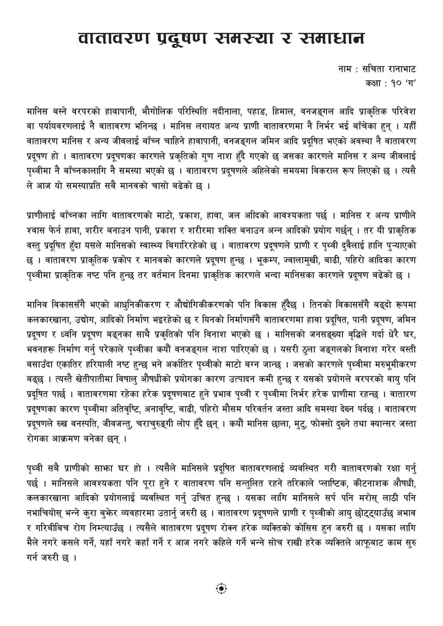#### वातावरण प्रदूषण समस्या र समाधान

नाम : सचिता रानाभाट कक्षा : १० 'ग'

मानिस बस्ने वरपरको हावापानी, भौगोलिक परिस्थिति नदीनाला, पहाड, हिमाल, वनजङ्गल आदि प्राकृतिक परिवेश वा पर्यायवरणलाई नै वातावरण भनिन्छ । मानिस लगायत अन्य प्राणी वातावरणमा नै निर्भर भई बाँचेका हुन् । यहीँ वातावरण मानिस र अन्य जीवलाई बाँच्न चाहिने हावापानी, वनजङ्गल जमिन आदि प्रदूषित भएको अवस्था नै वातावरण प्रदूषण हो । वातावरण प्रदूषणका कारणले प्रकृतिको गुण नाश हुँदै गएको छ जसका कारणले मानिस र अन्य जीवलाई पृथ्वीमा नै बाँच्नकालागि नै समस्या भएको छ । वातावरण प्रदूषणले अहिलेको समयमा विकराल रूप लिएको छ । त्यसै ले आज यो समस्याप्रति सबै मानवको चासो बढेको छ ।

प्राणीलाई बाँच्नका लागि वातावरणको माटो, प्रकाश, हावा, जल अािदको आवश्यकता पर्छ । मानिस र अन्य प्राणीले श्वास फेर्न हावा, शरीर बनाउन पानी, प्रकाश र शरीरमा शक्ति बनाउन अन्न आदिको प्रयोग गर्छन् । तर यी प्राकृतिक वस्तु प्रदूषित हुँदा यसले मानिसको स्वास्थ्य बिगारिरहेको छ । वातावरण प्रदूषणले प्राणी र पृथ्वी दुवैलाई हानि पुऱ्याएको छ । वातावरण प्राकृतिक प्रकोप र मानवको कारणले प्रदूषण हुन्छ । भूकम्प, ज्वालामुखी, बाढी, पहिरो आदिका कारण पृथ्वीमा प्राकृतिक नष्ट पनि हुन्छ तर वर्तमान दिनमा प्राकृतिक कारणले भन्दा मानिसका कारणले प्रदूषण बढेको छ ।

मानिव विकाससँगै भएको आधुनिकीकरण र औद्योगिकीकरणको पनि विकास हुँदैछ । तिनको विकाससँगै बढ्दो रूपमा कलकारखाना, उद्योग, आदिको निर्माण भइरहेको छ र यिनको निर्माणसँगै वातावरणमा हावा प्रदूषित, पानी प्रदूषण, जमिन प्रदूषण र ध्वनि प्रदूषण बढ्नका साथै प्रकृतिको पनि विनाश भएको छ । मानिसको जनसङ्ख्या वृद्धिले गर्दा धेरै घर, भवनहरू निर्माण गर्नु परेकाले पृथ्वीका कयौं वनजङ्गल नाश पारिएको छ । यसरी ठुला जङ्गलको विनाश गरेर बस्ती बसाउँदा एकातिर हरियाली नष्ट हुन्छ भने अर्कातिर पृथ्वीको माटो बग्न जान्छ । जसको कारणले पृथ्वीमा मरुभूमीकरण बढ्छ । त्यस्तै खेतीपातीमा विषाल् औषधीको प्रयोगका कारण उत्पादन कमी हुन्छ र यसको प्रयोगले वरपरको वायु पनि प्रदूषित पार्छ । वातावरणमा रहेका हरेक प्रदूषणबाट हुने प्रभाव पृथ्वी र पृथ्वीमा निर्भर हरेक प्राणीमा रहन्छ । वातारण प्रदूषणका कारण पृथ्वीमा अतिवृष्टि, अनावृष्टि, बाढी, पहिरो मौसम परिवर्तन जस्ता आदि समस्या देख्न पर्दछ । वातावरण प्रदूषणले रुख वनस्पति, जीवजन्त्, चराच्रुङ्गी लोप हुँदै छन् । कयौं मानिस छाला, मुट्, फोक्सो दुख्ने तथा क्यान्सर जस्ता रोगका आक्रमण बनेका छन्।

पृथ्वी सबै प्राणीको साभा घर हो । त्यसैले मानिसले प्रदुषित वातावरणलाई व्यवस्थित गरी वातावरणको रक्षा गर्न् पर्छ । मानिसले आवश्यकता पनि पूरा हुने र वातावरण पनि सन्तुलित रहने तरिकाले प्लाष्टिक, कीटनाशक औषधी, कलकारखाना आदिको प्रयोगलाई व्यवस्थित गर्नु उचित हुन्छ । यसका लागि मानिसले सर्प पनि मरोस् लाठी पनि नभाचियोस् भन्ने कुरा बुफेर व्यवहारमा उतार्नु जरुरी छ । वातावरण प्रदूषणले प्राणी र पृथ्वीको आयु छोट्ट्याउँछ अभाव र गरिबीबिच रोग निम्त्याउँछ । त्यसैले वातावरण प्रदूषण रोक्न हरेक व्यक्तिको कोसिस हुन जरुरी छ । यसका लागि मैले नगरे कसले गर्ने, यहाँ नगरे कहाँ गर्ने र आज नगरे कहिले गर्ने भन्ने सोच राखी हरेक व्यक्तिले आफूबाट काम सुरु गर्न जरुरी छ ।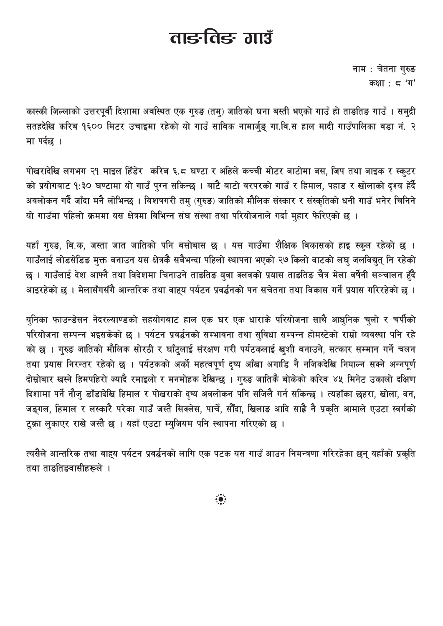# ताङ्कतिङ्क गाउँ

नाम: चेतना गुरुङ कक्षा:  $5'$  'ग'

कास्की जिल्लाको उत्तरपुर्वी दिशामा अवस्थित एक गुरुङ (तम्) जातिको घना बस्ती भएको गाउँ हो ताङतिङ गाउँ । समुद्री सतहदेखि करिब १६०० मिटर उचाइमा रहेको यो गाउँ साविक नामार्जङ गा.वि.स हाल मादी गाउँपालिका वडा नं. २ मा पर्दछ ।

पोखरादेखि लगभग २१ माइल हिँडेर करिब ६.८ घण्टा र अहिले कच्ची मोटर बाटोमा बस, जिप तथा बाइक र स्कूटर को प्रयोगबाट १:३० घण्टामा यो गाउँ पुग्न सकिन्छ । बाटै बाटो वरपरको गाउँ र हिमाल, पहाड र खोलाको दृश्य हेर्दै अवलोकन गर्दै जाँदा मनै लोभिन्छ । विशषगरी तम् (गुरुङ) जातिको मौलिक संस्कार र संस्कृतिको धनी गाउँ भनेर चिनिने यो गाउँमा पहिलो क्रममा यस क्षेत्रमा विभिन्न संघ संस्था तथा परियोजनाले गर्दा महार फेरिएको छ ।

यहाँ गुरुङ, वि.क, जस्ता जात जातिको पनि बसोबास छ । यस गाउँमा शैक्षिक विकासको हाइ स्कुल रहेको छ । गाउँलाई लोडसेडिङ मुक्त बनाउन यस क्षेत्रकै सबैभन्दा पहिलो स्थापना भएको २७ किलो वाटको लघु जलविद्युत् नि रहेको छ । गाउँलाई देश आफ्नै तथा विदेशमा चिनाउने ताङतिङ युवा क्लवको प्रयास ताङतिङ चैत्र मेला वर्षेनी सञ्चालन हँदै आइरहेको छ । मेलासँगसँगै आन्तरिक तथा वाहय पर्यटन प्रवर्द्धनको पन सचेतना तथा विकास गर्ने प्रयास गरिरहेको छ ।

युनिका फाउन्डेसन नेदरल्याण्डको सहयोगबाट हाल एक घर एक धाराके परियोजना साथै आधुनिक चुलो र चर्पीको परियोजना सम्पन्न भइसकेको छ । पर्यटन प्रवर्द्धनको सम्भावना तथा सुविधा सम्पन्न होमस्टेको राम्रो व्यवस्था पनि रहे को छ । गुरुङ जातिको मौलिक सोरठी र घाँटुलाई संरक्षण गरी पर्यटकलाई खुशी बनाउने, सत्कार सम्मान गर्ने चलन तथा प्रयास निरन्तर रहेको छ । पर्यटकको अर्को महत्वपूर्ण दृष्य आँखा अगाडि नै नजिकदेखि नियाल्न सक्ने अन्नपूर्ण दोस्रोबार खस्ने हिमपहिरो ज्यादै रमाइलो र मनमोहक देखिन्छ । गुरुङ जातिकै बोकेको करिव ४५ मिनेट उकालो दक्षिण दिशामा पर्ने नौजु डाँडादेखि हिमाल र पोखराको दृष्य अवलोकन पनि सजिलै गर्न सकिन्छ । त्यहाँका छहरा, खोला, वन, जङ्गल, हिमाल र लस्कारै परेका गाउँ जस्तै सिक्लेस, पार्चे, सौँदा, खिलाङ आदि साह्रै नै प्रकृति आमाले एउटा स्वर्गको टुक्रा लुकाएर राखे जस्तै छ । यहाँ एउटा म्युजियम पनि स्थापना गरिएको छ ।

त्यसैले आन्तरिक तथा वाह्य पर्यटन प्रवर्द्धनको लागि एक पटक यस गाउँ आउन निमन्त्रणा गरिरहेका छन् यहाँको प्रकृति तथा ताङतिङवासीह<mark>रूले</mark> ।

 $\ddot{\bullet}$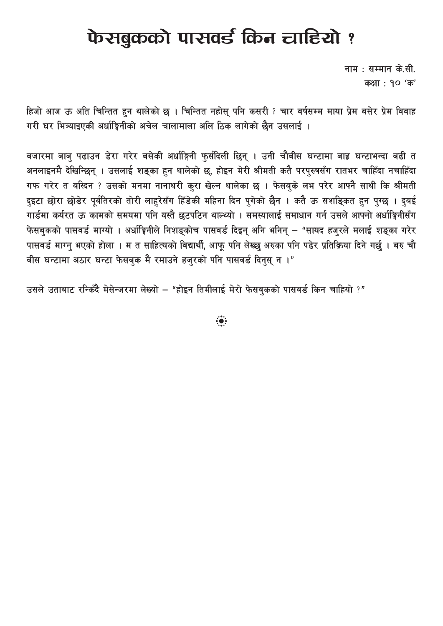# फेसबुकको पासवर्ड किन चाहियो ?

नाम $\pm$  सम्मान के.सी. कक्षा: १० 'क'

हिजो आज ऊ अति चिन्तित हुन थालेको छ । चिन्तित नहोसु पनि कसरी ? चार वर्षसम्म माया प्रेम बसेर प्रेम विवाह गरी घर भित्र्याइएकी अर्धाङ्गिनीको अचेल चालामाला अलि ठिक लागेको छैन उसलाई ।

बजारमा बाब् पढाउन डेरा गरेर बसेकी अर्धाङ्गिनी फुर्सदिली छिन् । उनी चौबीस घन्टामा बाह्र घन्टाभन्दा बढी त अनलाइनमै देखिन्छिन् । उसलाई शङ्का हुन थालेको छ, होइन मेरी श्रीमती कतै परपुरुषसँग रातभर चाहिँदा नचाहिँदा गफ गरेर त बस्दिन ? उसको मनमा नानाथरी कुरा खेल्न थालेका छ । फेसबुके लभ परेर आफ्नै साथी कि श्रीमती दुइटा छोरा छोडेर पुर्वतिरको तोरी लाहरेसँग हिँडेकी महिना दिन पुगेको छैन । कतै ऊ सशङ्कित हुन पुग्छु । दुबई गार्डमा कर्यरत ऊ कामको समयमा पनि यस्तै छटपटिन थाल्थ्यो । समस्यालाई समाधान गर्न उसले आफ्नो अर्धाङ्गिनीसँग फेसबकको पासवर्ड माग्यो । अर्धाङ्गिनीले निशङ्कोच पासवर्ड दिइन् अनि भनिन् – "सायद हजुरले मलाई शङ्का गरेर पासवर्ड माग्न भएको होला । म त साहित्यको विद्यार्थी, आफु पनि लेख्छ अरुका पनि पढेर प्रतिक्रिया दिने गर्छ । बरु चौ बीस घन्टामा अठार घन्टा फेसबुक मै रमाउने हजुरको पनि पासवर्ड दिनुस् न ।"

उसले उताबाट रन्किंदै मेसेन्जरमा लेख्यो – "होइन तिमीलाई मेरो फेसवकको पासवर्ड किन चाहियो ?"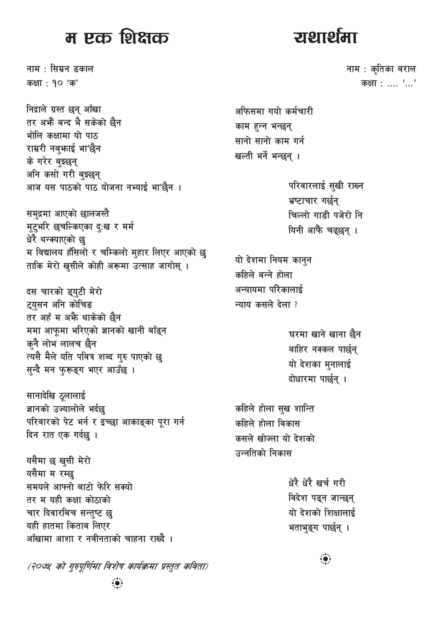#### म एक शिक्षक

नाम : सिम्रन ढकाल कक्षा: १० 'क'

निद्राले ग्रस्त छन् आँखा तर अफ्रैं बन्द भै सकेको छैन भोलि कक्षामा यो पाठ राम्ररी नबुफाई भा'छैन के गरेर बुझ्छन् अनि कसो गरी बस्छन् आज यस पाठको पाठ योजना नभ्याई भा'छैन ।

समुद्रमा आएको छालजस्तै मुटुभरि छचल्किएका दुःख र मर्म धेरै थन्क्याएको छु म विद्यालय हँसिलो र चम्किलो मुहार लिएर आएको छु ताकि मेरो खुसीले कोही अरूमा उत्साह जागोस् ।

दस चारको ड्युटी मेरो टयसन अनि कोचिङ तर अहँ म अफै थाकेको छैन ममा आफूमा भरिएको ज्ञानको खानी बाँढ्न कुनै लोभ लालच छैन त्यसै मैले यति पवित्र शब्द गुरु पाएको छ सुन्दै मन फुरूङ्ग भएर आउँछ ।

सानादेखि ठूलालाई ज्ञानको उज्यालोले भर्दछ परिवारको पेट भर्न र इच्छा आकाङ्का पुरा गर्न दिन रात एक गर्दछ ।

यसैमा छ खुसी मेरो यसैमा म रम्छ समयले आफ्नो बाटो फेरि सक्यो तर म यही कक्षा कोठाको चार दिवारबिच सन्तु<mark>ष्ट</mark> छु यही हातमा किताब लिएर आँखामा आशा र नवीनताको चाहना राख्दै ।

(२०७५ को गुरुपूर्णिमा विशेष कार्यक्रमा प्रस्तुत कविता)

<u>राशार्थमा</u>

नाम : कृतिका बराल कक्षा : .... '...'

अफिसमा गयो कर्मचारी काम हन्न भन्छन् सानो सानो काम गर्न खल्ती भर्ने भन्छन् ।

> परिवारलाई सुखी राख्न भ्रष्टाचार गर्छन् चिल्लो गाडी पजेरो नि यिनी आफैं चढ्छन् ।

यो देशमा नियम कानुन कहिले बन्ने होला अन्यायमा परिकालाई न्याय कसले देला ?

> घरमा खाने खाना छैन बाहिर नक्कल पार्छन् यो देशका मुनालाई दोधारमा पार्छन ।

कहिले होला सुख शान्ति कहिले होला विकास कसले खोज्ला यो देशको उन्नतिको निकास

> धेरै धेरै खर्च गरी विदेश पढ्न जान्छन् यो देशको शिक्षालाई भताभुङ्ग पार्छन् ।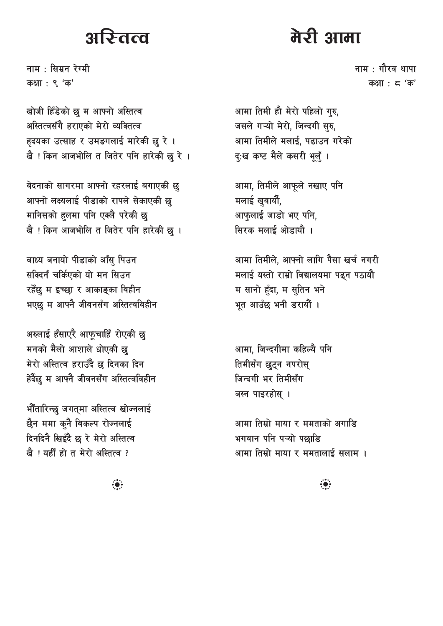# रि-तत्व

नाम $\pm$  सिम्रन रेग्मी कक्षा : ९ 'क'

खोजी हिँडेको छ म आफ्नो अस्तित्व अस्तित्वसँगै हराएको मेरो व्यक्तित्व हृदयका उत्साह र उमङगलाई मारेकी छु रे । खै ! किन आजभोलि त जितेर पनि हारेकी छु रे ।

वेदनाको सागरमा आफ्नो रहरलाई बगाएकी छु आफ्नो लक्ष्यलाई पीडाको रापले सेकाएकी छ मानिसको हलमा पनि एक्लै परेकी छ खै ! किन आजभोलि त जितेर पनि हारेकी छू ।

बाध्य बनायो पीडाको आँस् पिउन सक्दिनँ चर्किएको यो मन सिउन रहेँछ म इच्छा र आकाङ्का विहीन भएछ म आफ्नै जीवनसँग अस्तित्वविहीन

अरुलाई हँसाएरै आफूचाहिँ रोएकी छ मनको मैलो आशाले धोएकी छ मेरो अस्तित्व हराउँदै छ दिनका दिन हेर्दैछ म आफ्नै जीवनसँग अस्तित्वविहीन

भौँतारिन्छु जगत्मा अस्तित्व खोज्नलाई छैन ममा कनै विकल्प रोज्नलाई दिनदिनै खिइँदै छ रे मेरो अस्तित्व खै ! यहीँ हो त मेरो अस्तित्व ?

# मेरी आमा

नाम $\pm$  गौरव थापा कक्षा:  $5'$  क'

आमा तिमी हौ मेरो पहिलो गुरु, जसले गऱ्यो मेरो, जिन्दगी सुरु, आमा तिमीले मलाई, पढाउन गरेको दृ:ख कष्ट मैले कसरी भूलूँ ।

आमा, तिमीले आफुले नखाए पनि मलाई खुवार्यो, आफुलाई जाडो भए पनि, सिरक मलाई ओड़ायौ ।

आमा तिमीले, आफ्नो लागि पैसा खर्च नगरी मलाई यस्तो राम्रो विद्यालयमा पढ्न पठायौ म सानो हँदा, म स्तिन भने भत आउँछ भनी डरायौं ।

आमा, जिन्दगीमा कहिल्यै पनि तिमीसँग छुट्न नपरोस् जिन्दगी भर तिमीसँग बस्न पाइरहोस् ।

आमा तिम्रो माया र ममताको अगाडि भगवान पनि पऱ्यो पछाडि आमा तिम्रो माया र ममतालाई सलाम ।

 $\ddot{\bullet}$ 

 $\ddot{\bullet}$  :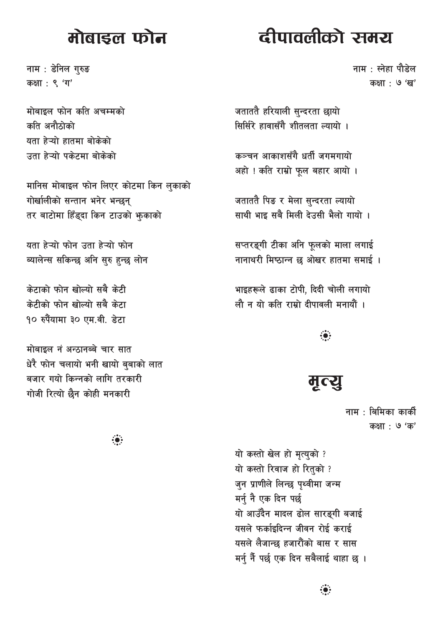## मोबाडल फोन

# दीपावलीको समय

नाम : डेनिल गुरुङ कक्षा: ९ 'ग'

मोबाइल फोन कति अचम्मको कति अनौठोको यता हेऱ्यो हातमा बोकेको उता हेऱ्यो पकेटमा बोकेको

मानिस मोबाइल फोन लिएर कोटमा किन लुकाको गोर्खालीको सन्तान भनेर भन्छन् तर बाटोमा हिँड्दा किन टाउको भूकाको

यता हेऱ्यो फोन उता हेऱ्यो फोन ब्यालेन्स सकिन्छ अनि सुरु हुन्छ लोन

केटाको फोन खोल्यो सबै केटी केटीको फोन खोल्यो सबै केटा १० रुपैयामा ३० एम.वी. डेटा

मोबाइल नं अन्ठानब्बे चार सात धेरै फोन चलायो भनी खायो बुबाको लात बजार गयो किन्नको लागि तरकारी गोजी रित्यो छैन कोही मनकारी

नाम $\pm$  स्नेहा पौडेल कक्षा : ७ 'ख'

जताततै हरियाली सुन्दरता छायो सिर्सिरे हावासँगै शीतलता ल्यायो ।

कञ्चन आकाशसँगै धर्ती जगमगायो अहो ! कति राम्रो फुल बहार आयो ।

जताततै पिङ र मेला सुन्दरता ल्यायो साथी भाइ सबै मिली देउसी भैलो गायो ।

सप्तरङ्गी टीका अनि फूलको माला लगाई नानाथरी मिष्ठान्न छ ओखर हातमा समाई ।

भाइहरूले ढाका टोपी. दिदी चोली लगायो लौ न यो कति राम्रो दीपावली मनायौं ।

 $\ddot{\bullet}$ 

मृत्यू

नाम : बिमिका कार्की कक्षा : **७** 'क'

यो कस्तो खेल हो मृत्युको ? यो कस्तो रिवाज हो रितुको ? जुन प्राणीले लिन्छ पृथ्वीमा जन्म मर्नु नै एक दिन पर्छ यो आउँदैन मादल ढोल सारङ्गी बजाई यसले फर्काइदिन्न जीवन रोई कराई यसले लैजान्छ हजारौंको बास र सास मर्न् नैं पर्छ एक दिन सबैलाई थाहा छ ।

 $\ddot{\bullet}$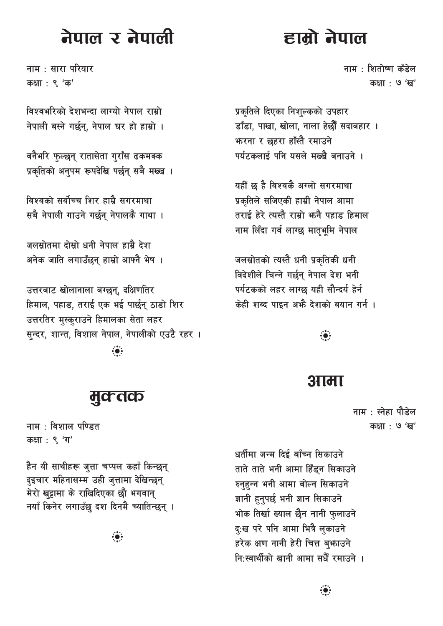# नेपाल र नेपाली

नाम $\pm$  सारा परियार कक्षा: ९ 'क'

विश्वभरिको देशभन्दा लाग्यो नेपाल राम्रो नेपाली बस्ने गर्छन. नेपाल घर हो हाम्रो ।

वनैभरि फुल्छन् रातासेता गुराँस ढकमक्क प्रकृतिको अनुपम रूपदेखि पर्छन् सबै मख्ख ।

विश्वको सर्वोच्च शिर हाम्रै सगरमाथा सबै नेपाली गाउने गर्छन् नेपालकै गाथा ।

जलसोतमा दोस्रो धनी नेपाल हाम्रै देश अनेक जाति लगाउँछन् हाम्रो आफ्नै भेष ।

उत्तरबाट खोलानाला बग्छन्, दक्षिणतिर हिमाल, पहाड, तराई एक भई पार्छन ठाडो शिर उत्तरतिर मुस्कुराउने हिमालका सेता लहर सन्दर, शान्त, विशाल नेपाल, नेपालीको एउटै रहर ।  $\ddot{\bullet}$ 

#### मुक्तक

नाम : विशाल पण्डित कक्षा : ९ 'ग'

हैन यी साथीहरू जुत्ता चप्पल कहाँ किन्छन् दइचार महिनासम्म उही जत्तामा देखिन्छन् मेरो खट्टामा के राखिदिएका छौ भगवान् नयाँ किनेर लगाउँछ दश दिनमै च्यातिन्छन् ।

 $\ddot{\bullet}$ 

# हाम्रो नेपाल

नाम : शितोष्ण कँडेल कक्षा : ७ 'ख'

प्रकृतिले दिएका निशुल्कको उपहार डाँडा. पाखा. खोला. नाला हेर्छौँ सदाबहार । **फरना र छहरा हाँस्तै रमाउने** पर्यटकलाई पनि यसले मख्खै बनाउने ।

यहीँ छ है विश्वकै अग्लो सगरमाथा प्रकृतिले सजिएकी हाम्री नेपाल आमा तराई हेरे त्यस्तै राम्रो भनै पहाड हिमाल नाम लिँदा गर्व लाग्छ मातृभूमि नेपाल

जलस्रोतको त्यस्तै धनी प्रकृतिकी धनी विदेशीले चिन्ने गर्छन् नेपाल देश भनी पर्यटकको लहर लाग्छ यही सौन्दर्य हेर्न केही शब्द पाइन अफ्रै देशको बयान गर्न ।

#### :ë:

#### आमा

नाम $\pm$  स्नेहा पौडेल कक्षा : **७** 'ख'

धर्तीमा जन्म दिई बाँच्न सिकाउने ताते ताते भनी आमा हिँडन सिकाउने रुनुहुन्न भनी आमा बोल्न सिकाउने ज्ञानी हनुपर्छ भनी ज्ञान सिकाउने भोक तिर्खा ख्याल छैन नानी फुलाउने दृ:ख परे पनि आमा भित्रै लुकाउने हरेक क्षण नानी हेरी चित्त बफाउने नि<sup>.</sup>स्वार्थीको खानी आमा सधैँ रमाउने ।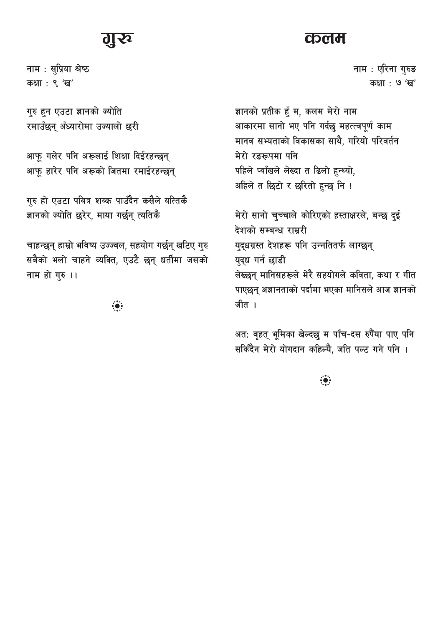नाम : सुप्रिया श्रेष्ठ कक्षा : ९ 'ख'

गुरु हुन एउटा ज्ञानको ज्योति रमाउँछन् अँध्यारोमा उज्यालो छरी

आफू गलेर पनि अरूलाई शिक्षा दिईरहन्छन् आफू हारेर पनि अरूको जितमा रमाईरहन्छन्

गुरु हो एउटा पवित्र शब्क पाउँदैन कसैले यत्तिकै ज्ञानको ज्योति छुरेर, माया गर्छन् त्यतिकै

चाहन्छन् हाम्रो भविष्य उज्ज्वल, सहयोग गर्छन् खटिए गुरु सबैको भलो चाहने व्यक्ति, एउटै छन् धर्तीमा जसको नाम हो गुरु ।।

 $\ddot{\bullet}$ 

#### **CD** Cd dl

नाम : एरिना गुरुङ कक्षा : ७ 'ख'

ज्ञानको प्रतीक हुँ म, कलम मेरो नाम आकारमा सानो भए पनि गर्दछ महत्त्वपूर्ण काम मानव सभ्यताको विकासका साथै, गरियो परिवर्तन मेरो रङरूपमा पनि पहिले प्वाँखले लेख्दा त ढिलो हुन्थ्यो, अहिले त छिटो र छरितो हुन्छ नि !

मेरो सानो चुच्चाले कोरिएको हस्ताक्षरले, बन्छ दुई देशको सम्बन्ध राम्ररी युद्धग्रस्त देशहरू पनि उन्नतितर्फ लाग्छन् युद्ध गर्न छाडी लेख्छन् मानिसहरूले मेरै सहयोगले कविता, कथा र गीत पाएछन् अज्ञानताको पर्दामा भएका मानिसले आज ज्ञानको जीत ।

अत: वृहत् भूमिका खेल्दछु म पाँच-दस रुपैया पाए पनि सकिँदैन मेरो योगदान कहिल्यै, जति पल्ट गने पनि ।

 $\ddot{\bullet}$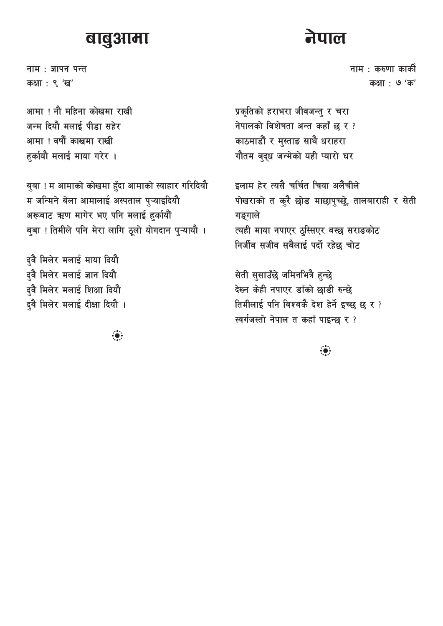#### बाबुआमा

नाम: ज्ञापन पन्त कक्षा: ९ 'ख'

आमा ! नौ महिना कोखमा राखी जन्म दियौ मलाई पीडा सहेर आमा ! वर्षौं काखमा राखी हुर्कायौ मलाई माया गरेर ।

बुबा ! म आमाको कोखमा हुँदा आमाको स्याहार गरिदियौ म जन्मिने बेला आमालाई अस्पताल प्ऱ्याइदियौ अरूबाट ऋण मागेर भए पनि मलाई हुर्कायौं बुबा ! तिमीले पनि मेरा लागि ठूलो योगदान पुऱ्यायौ ।

दुवै मिलेर मलाई माया दियौ दुवै मिलेर मलाई ज्ञान दियौ द्वै मिलेर मलाई शिक्षा दियौ द्वै मिलेर मलाई दीक्षा दियौ ।

 $\ddot{\bullet}$ 

नेपाल

नाम : करुणा कार्की कक्षा : **७** 'क'

प्रकृतिको हराभरा जीवजन्तु र चरा नेपालको विशेषता अन्त कहाँ छ र? काठमाडौं र मुस्ताङ साथै धराहरा गौतम बुद्ध जन्मेको यही प्यारो घर

इलाम हेर त्यसै चर्चित चिया अलैंचीले पोखराको त कुरै छोड माछापुच्छ्रे, तालबाराही र सेती गङ्गाले त्यही माया नपाएर ठुस्सिएर बस्छ सराङकोट निर्जीव सजीव सबैलाई पर्दो रहेछ चोट

सेती सुसाउँछे जमिनभित्रै हुन्छे देख्न केही नपाएर डाँको छाडी रुन्छे तिमीलाई पनि विश्वकै देश हेर्ने इच्छ छ र ? स्वर्गजस्तो नेपाल त कहाँ पाइन्छ र?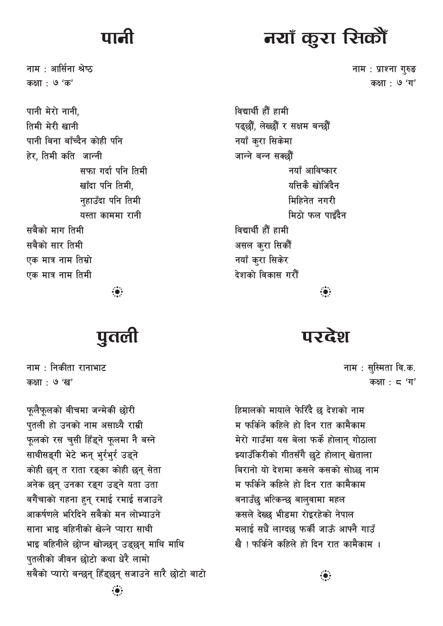नाम $\pm$  आर्सिना श्रेष्ठ कक्षा : ७ 'क'

पानी मेरो नानी. तिमी मेरी खानी पानी बिना बाँच्दैन कोही पनि हेर, तिमी कति जान्नी सफा गर्दा पनि तिमी खाँदा पनि तिमी, नहाउँदा पनि तिमी यस्ता काममा रानी सबैको माग तिमी सबैको सार तिमी एक मात्र नाम तिम्रो एक मात्र नाम तिमी

 $\ddot{\bullet}$ 

# पुतली

नाम $\pm$  निकीता रानाभाट कक्षा : **७** 'ख'

फूलैफूलको बीचमा जन्मेकी छोरी पुतली हो उनको नाम असाध्यै राम्री फुलको रस चुसी हिँडुने फुलमा नै बस्ने साथीसङ्गी भेटे फन् भूर्रभूर उड्ने कोही छन् त राता रङ्का कोही छन् सेता अनेक छन् उनका रङ्ग उड्ने यता उता बगैंचाको गहना हुन रमाई रमाई सजाउने आकर्षणले भरिदिने सबैको मन लोभ्याउने साना भाइ बहिनीको खेल्ने प्यारा साथी भाइ बहिनीले छोप्न खोज्छन् उड्छन् माथि माथि पतलीको जीवन छोटो कथा धेरै लामो सबैको प्यारो बन्छन हिँडछन सजाउने सारै छोटो बाटो

# नयाँ कूरा रित्त्वीँ

नाम: प्राश्ना गुरुङ कक्षा: ७ 'ग'

विद्यार्थी हौं हामी पढछौँ, लेख्छौँ र सक्षम बन्छौँ नयाँ कुरा सिकेमा जान्ने बन्न सक्छौं नयाँ आविष्कार यत्तिकै खोजिंदैन मिद्रिनेत नगरी मिठो फल पाइँदैन विद्यार्थी हौं हामी असल करा सिकौं नयाँ करा सिकेर देशको विकास गरौँ  $\ddot{\bullet}$ 

परदेश

नाम : सुस्मिता वि.क. कक्षा:  $\epsilon$ 'ग'

हिमालको मायाले फेरिँदै छ देशको नाम म फर्किने कहिले हो दिन रात कामैकाम मेरो गाउँमा यस बेला फर्के होलान् गोठाला झ्याउँकिरीको गीतसँगै छुटे होलान् खेताला बिरानो यो देशमा कसले कसको सोध्छ नाम म फर्किने कहिले हो दिन रात कामैकाम बनाउँछ भत्किन्छ बालवामा महल कसले देख्छ भीडमा रोइरहेको नेपाल मलाई सधैं लाग्दछ फर्की जाऊँ आफ्नै गाउँ खै । फर्किने कहिले हो दिन रात कामैकाम ।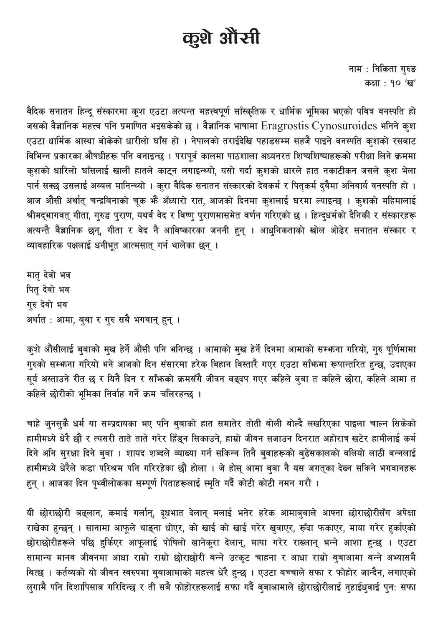# कुशे औरनी

नाम : निकिता गुरुङ कक्षा : १० 'ख'

वैदिक सनातन हिन्दू संस्कारमा कुश एउटा अत्यन्त महत्त्वपूर्ण साँस्कृतिक र धार्मिक भूमिका भएको पवित्र वनस्पति हो जसको वैज्ञानिक महत्त्व पनि प्रमाणित भइसकेको छ । वैज्ञानिक भाषामा Eragrostis Cynosuroides भनिने कुश एउटा धार्मिक आस्था बोकेको धारीलो घाँस हो । नेपालको तराईदेखि पहाडसम्म सहजै पाइने वनस्पति कुशको रसबाट विभिन्न प्रकारका औषधीहरू पनि बनाइन्छ । परापूर्व कालमा पाठशाला अध्यनरत शिष्यशिष्याहरूको परीक्षा लिने क्रममा कुशको धारिलो घाँसलाई खाली हातले काट्न लगाइन्थ्यो, यसो गर्दा कुशको धारले हात नकाटीकन जसले कुश भेला पार्न सक्छ उसलाई अब्बल मानिन्थ्यो । कुरा वैदिक सनातन संस्कारको देवकर्म र पितृकर्म दुबैमा अनिवार्य वनस्पति हो । आज औंसी अर्थात् चन्द्रबिनाको चूक भैं अँध्यारो रात, आजको दिनमा कुशलाई घरमा ल्याइन्छ । कुशको महिमालाई श्रीमद्भागवत् गीता, गुरुड पुराण, यथर्व वेद र विष्णु पुराणमासमेत वर्णन गरिएको छ । हिन्दुधर्मको दैनिकी र संस्कारहरू अत्यन्तै वैज्ञानिक छन्, गीता र वेद नै आविष्कारका जननी हुन् । आधुनिकताको खोल ओढेर सनातन संस्कार र व्यावहारिक पक्षलाई धनीभत आत्मसात गर्न थालेका छन ।

मातृ देवो भव पितृ देवो भव गरु देवो भव अर्थात : आमा, बुबा र गुरु सबै भगवान् हुन् ।

कुशे औंसीलाई बुबाको मुख हेर्ने औंसी पनि भनिन्छ । आमाको मुख हेर्ने दिनमा आमाको सम्भना गरियो, गुरु पूर्णिमामा गुरुको सम्भना गरियो भने आजको दिन संसारमा हरेक बिहान विस्तारै गएर एउटा साँभन्मा रूपान्तरित हुन्छ, उदाएका सर्य अस्ताउने रीत छ र यिनै दिन र साँफको क्रमसँगै जीवन बढदप गएर कहिले बबा त कहिले छोरा. कहिले आमा त कहिले छोरीको भमिका निर्वाह गर्ने क्रम चलिरहन्छ ।

चाहे जुनसुकै धर्म या सम्प्रदायका भए पनि बुबाको हात समातेर तोती बोली बोल्दै लखरिएका पाइला चाल्न सिकेको हामीमध्ये धेरै छौं र त्यसरी ताते ताते गरेर हिँड्न सिकाउने, हाम्रो जीवन सजाउन दिनरात अहोरात्र खटेर हामीलाई कर्म दिने अनि सुरक्षा दिने बुबा । शायद शब्दले व्याख्या गर्न सकिन्न तिनै बुबाहरूको बुढेसकालको बलियो लाठी बन्नलाई हामीमध्ये धेरैले कडा परिश्रम पनि गरिरहेका छौं होला । जे होस् आमा बुबा नै यस जगतुका देख्न सकिने भगवानहरू हुन् । आजका दिन पृथ्वीलोकका सम्पूर्ण पिताहरूलाई स्मृति गर्दै कोटी कोटी नमन गरौं ।

यी छोराछोरी बढ्लान, कमाई गर्लान्, दूधभात देलान् मलाई भनेर हरेक आमाबुबाले आफ्ना छोराछोरीसँग अपेक्षा राखेका हुन्छन् । सानामा आफूले थाङ्ना धोएर, को खाई को खाई गरेर खुवाएर, रूँदा फकाएर, माया गरेर हुर्काएको छोराछोरीहरूले पछि हुर्किएर आफूलाई पोषिलो खानेकुरा देलान्, माया गरेर राख्लान् भन्ने आशा हुन्छ । एउटा सामान्य मानव जीवनमा आधा राम्रो राम्रो छोराछोरी बन्ने उत्कृट चाहना र आधा राम्रो ब्बाआमा बन्ने अभ्यासमै बित्छ । कर्तव्यको यो जीवन स्वरुपमा बुबाआमाको महत्त्व धेरै हुन्छ । एउटा बच्चाले सफा र फोहोर जान्दैन, लगाएको लुगामै पनि दिशापिसाब गरिदिन्छ र ती सबै फोहोरहरूलाई सफा गर्दै बुबाआमाले छोराछोरीलाई नुहाईधुवाई पुन: सफा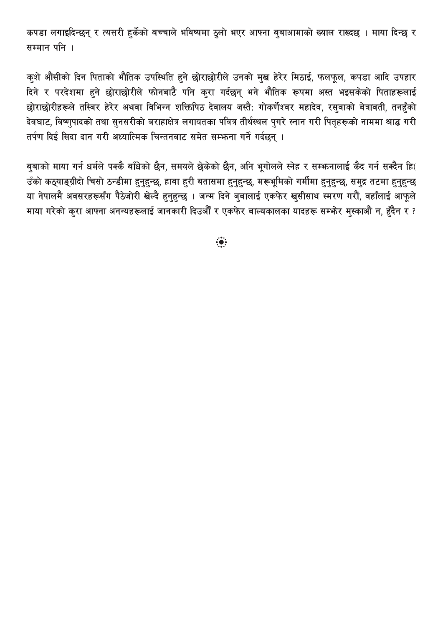कपड़ा लगाइदिन्छन् र त्यसरी हुर्केको बच्चाले भविष्यमा ठुलो भएर आफ्ना बुबाआमाको ख्याल राख्दछ । माया दिन्छ र सम्मान पनि ।

कुशे औंसीको दिन पिताको भौतिक उपस्थिति हुने छोराछोरीले उनको मुख हेरेर मिठाई, फलफूल, कपडा आदि उपहार दिने र परदेशमा हुने छोराछोरीले फोनबाटै पनि कुरा गर्दछन् भने भौतिक रूपमा अस्त भइसकेको पिताहरूलाई छोराछोरीहरूले तस्बिर हेरेर अथवा विभिन्न शक्तिपिठ देवालय जस्तै: गोकर्णेश्वर महादेव, रस्**वाको बेत्रावती, तनहँको** देवघाट, विष्णुपादको तथा सुनसरीको बराहाक्षेत्र लगायतका पवित्र तीर्थस्थल पुगरे स्नान गरी पितृहरूको नाममा श्राद्ध गरी तर्पण दिई सिदा दान गरी अध्यात्मिक चिन्तनबाट समेत सम्भन्ना गर्ने गर्दछन ।

बुबाको माया गर्न धर्मले पक्कै बाँधेको छैन, समयले छेकेको छैन, अनि भूगोलले स्नेह र सम्भनालाई कैद गर्न सक्दैन हि( उँको कठ्याङ्ग्रीदो चिसो ठन्डीमा हुनुहुन्छ, हावा हुरी बतासमा हुनुहुन्छ, मरूभूमिको गर्मीमा हुनुहुन्छ, समुद्र तटमा हुनुहुन्छ या नेपालमै अवसरहरूसँग पैठेजोरी खेल्दै हुनुहुन्छ । जन्म दिने बुबालाई एकफेर खुसीसाथ स्मरण गरौं, वहाँलाई आफूले माया गरेको कुरा आफ्ना अनन्यहरूलाई जानकारी दिउऔँ र एकफेर बाल्यकालका यादहरू सम्फेर मुस्काऔं न, हुँदैन र ?

 $\ddot{\bullet}$